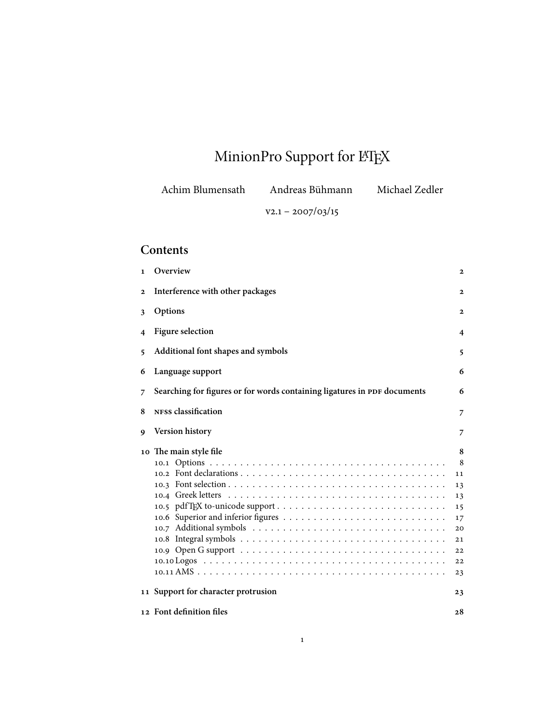# MinionPro Support for LATEX

| Achim Blumensath | Andreas Bühmann     | Michael Zedler |
|------------------|---------------------|----------------|
|                  | $V2.1 - 2007/03/15$ |                |

## **Contents**

| $\mathbf{1}$ | Overview                                                                 | $\mathbf{2}$                                                       |
|--------------|--------------------------------------------------------------------------|--------------------------------------------------------------------|
| $\mathbf{2}$ | Interference with other packages                                         | $\mathbf{2}$                                                       |
| 3            | Options                                                                  | 2                                                                  |
| 4            | <b>Figure selection</b>                                                  | 4                                                                  |
| 5            | Additional font shapes and symbols                                       | 5                                                                  |
| 6            | Language support                                                         | 6                                                                  |
| 7            | Searching for figures or for words containing ligatures in PDF documents | 6                                                                  |
| 8            | NFSS classification                                                      | 7                                                                  |
| 9            | <b>Version history</b>                                                   | 7                                                                  |
|              | 10 The main style file                                                   | 8<br>8<br>11<br>13<br>13<br>15<br>17<br>20<br>21<br>22<br>22<br>23 |
|              | 11 Support for character protrusion                                      | 23                                                                 |
|              | 12 Font definition files                                                 | 28                                                                 |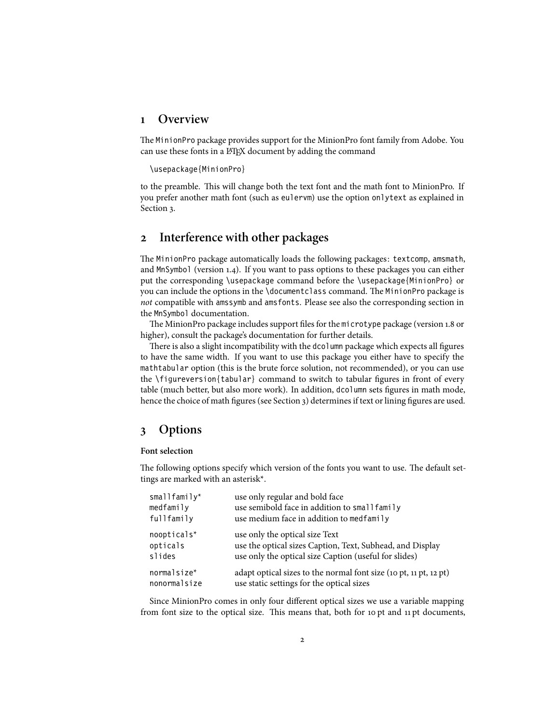#### <span id="page-1-0"></span>**1 Overview**

The MinionPro package provides support for the MinionPro font family from Adobe. You can use these fonts in a LATEX document by adding the command

\usepackage{MinionPro}

to the preamble. This will change both the text font and the math font to MinionPro. If you prefer another math font (such as eulervm) use the option onlytext as explained in Section [3.](#page-1-2)

### <span id="page-1-1"></span>**2 Interference with other packages**

The MinionPro package automatically loads the following packages: textcomp, amsmath, and MnSymbol (version 1.4). If you want to pass options to these packages you can either put the corresponding \usepackage command before the \usepackage{MinionPro} or you can include the options in the \documentclass command. The MinionPro package is *not* compatible with amssymb and amsfonts. Please see also the corresponding section in the MnSymbol documentation.

The MinionPro package includes support files for the microtype package (version 1.8 or higher), consult the package's documentation for further details.

There is also a slight incompatibility with the dcolumn package which expects all figures to have the same width. If you want to use this package you either have to specify the mathtabular option (this is the brute force solution, not recommended), or you can use the \figureversion{tabular} command to switch to tabular figures in front of every table (much better, but also more work). In addition, dcolumn sets figures in math mode, hence the choice of math figures (see Section [3\)](#page-1-2) determines if text or lining figures are used.

#### <span id="page-1-2"></span>**3 Options**

#### **Font selection**

The following options specify which version of the fonts you want to use. The default settings are marked with an asterisk\*.

| smallfamily*   | use only regular and bold face                                    |
|----------------|-------------------------------------------------------------------|
| medfamily      | use semibold face in addition to small family                     |
| fullfamily     | use medium face in addition to medfamily                          |
| $noopticals*$  | use only the optical size Text                                    |
| opticals       | use the optical sizes Caption, Text, Subhead, and Display         |
| slides         | use only the optical size Caption (useful for slides)             |
| $normal size*$ | adapt optical sizes to the normal font size (10 pt, 11 pt, 12 pt) |
| nonormalsize   | use static settings for the optical sizes                         |

Since MinionPro comes in only four different optical sizes we use a variable mapping from font size to the optical size. This means that, both for 10 pt and 11 pt documents,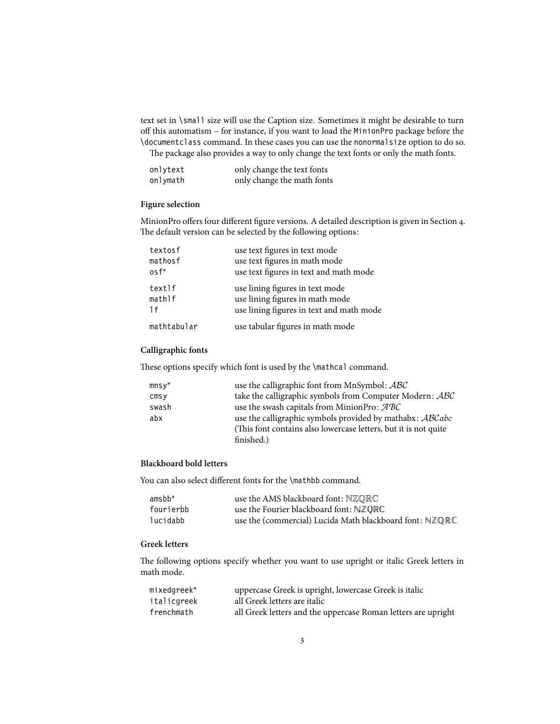text set in \small size will use the Caption size. Sometimes it might be desirable to turn off this automatism – for instance, if you want to load the MinionPro package before the \documentclass command. In these cases you can use the nonormalsize option to do so. The package also provides a way to only change the text fonts or only the math fonts.

| onlytext | only change the text fonts |
|----------|----------------------------|
| onlymath | only change the math fonts |

#### **Figure selection**

MinionPro offers four different figure versions. A detailed description is given in Section [4.](#page-3-0) The default version can be selected by the following options:

| textosf     | use text figures in text mode            |
|-------------|------------------------------------------|
| mathosf     | use text figures in math mode            |
| $osf^*$     | use text figures in text and math mode   |
| textlf      | use lining figures in text mode          |
| mathI       | use lining figures in math mode          |
| 1f          | use lining figures in text and math mode |
| mathtabular | use tabular figures in math mode         |

#### **Calligraphic fonts**

These options specify which font is used by the \mathcal command.

| $mnsy*$           | use the calligraphic font from MnSymbol: ABC                                 |
|-------------------|------------------------------------------------------------------------------|
| $\mathsf{cm}$ s y | take the calligraphic symbols from Computer Modern: ABC                      |
| swash             | use the swash capitals from MinionPro: $\mathcal{A} \mathcal{B} \mathcal{C}$ |
| abx               | use the calligraphic symbols provided by mathabx: ABCabc                     |
|                   | (This font contains also lowercase letters, but it is not quite              |
|                   | finished.)                                                                   |

#### **Blackboard bold letters**

You can also select different fonts for the \mathbb command.

| $amsbb*$  | use the AMS blackboard font: $NZQRC$                    |
|-----------|---------------------------------------------------------|
| fourierbb | use the Fourier blackboard font: NZQRC                  |
| lucidabb  | use the (commercial) Lucida Math blackboard font: NZQRC |

#### **Greek letters**

The following options specify whether you want to use upright or italic Greek letters in math mode.

| $mixedgreek*$ | uppercase Greek is upright, lowercase Greek is italic         |
|---------------|---------------------------------------------------------------|
| italicgreek   | all Greek letters are italic                                  |
| frenchmath    | all Greek letters and the uppercase Roman letters are upright |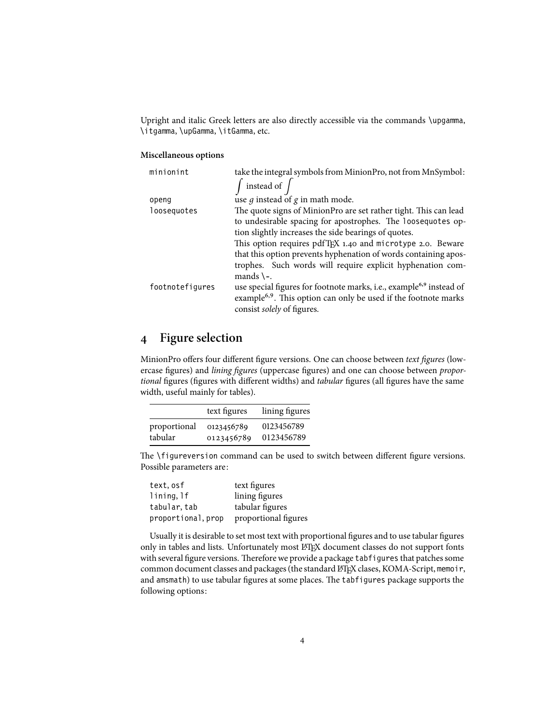Upright and italic Greek letters are also directly accessible via the commands \upgamma, \itgamma, \upGamma, \itGamma, etc.

#### **Miscellaneous options**

| minionint       | take the integral symbols from MinionPro, not from MnSymbol:                                                                                                                                 |
|-----------------|----------------------------------------------------------------------------------------------------------------------------------------------------------------------------------------------|
|                 | instead of $\int$                                                                                                                                                                            |
| openg           | use $q$ instead of $q$ in math mode.                                                                                                                                                         |
| loosequotes     | The quote signs of MinionPro are set rather tight. This can lead                                                                                                                             |
|                 | to undesirable spacing for apostrophes. The loosequotes op-                                                                                                                                  |
|                 | tion slightly increases the side bearings of quotes.                                                                                                                                         |
|                 | This option requires pdfTFX 1.40 and microtype 2.0. Beware                                                                                                                                   |
|                 | that this option prevents hyphenation of words containing apos-                                                                                                                              |
|                 | trophes. Such words will require explicit hyphenation com-<br>mands $\mathcal{L}$ .                                                                                                          |
| footnotefigures | use special figures for footnote marks, i.e., example <sup>6,9</sup> instead of<br>example <sup>6,9</sup> . This option can only be used if the footnote marks<br>consist solely of figures. |

## <span id="page-3-0"></span>**4 Figure selection**

MinionPro offers four different figure versions. One can choose between *text figures* (lowercase figures) and *lining figures* (uppercase figures) and one can choose between *proportional* figures (figures with different widths) and *tabular* figures (all figures have the same width, useful mainly for tables).

|              | text figures | lining figures |
|--------------|--------------|----------------|
| proportional | 0123456789   | 0123456789     |
| tabular      | 0123456789   | 0123456789     |

The \figureversion command can be used to switch between different figure versions. Possible parameters are:

| text, osf          | text figures         |
|--------------------|----------------------|
| lining, lf         | lining figures       |
| tabular, tab       | tabular figures      |
| proportional, prop | proportional figures |

Usually it is desirable to set most text with proportional figures and to use tabular figures only in tables and lists. Unfortunately most LATEX document classes do not support fonts with several figure versions. Therefore we provide a package tabfigures that patches some common document classes and packages (the standard LATEX clases, KOMA-Script, memoir, and amsmath) to use tabular figures at some places. The tabfigures package supports the following options: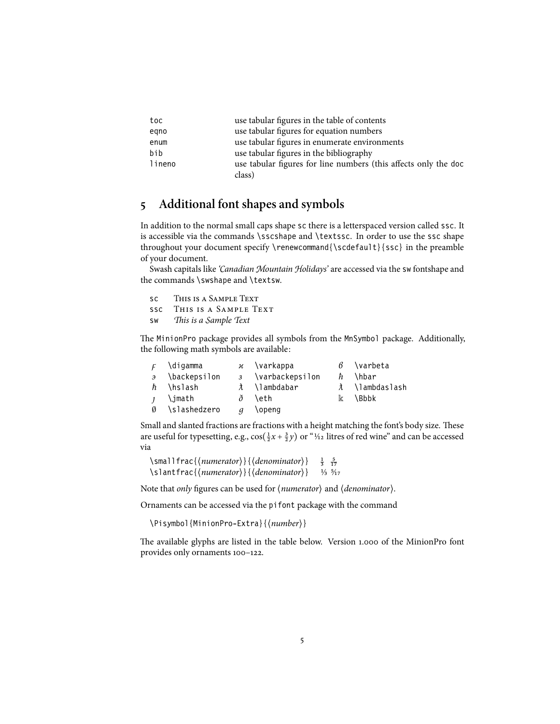| toc    | use tabular figures in the table of contents                    |
|--------|-----------------------------------------------------------------|
| egno   | use tabular figures for equation numbers                        |
| enum   | use tabular figures in enumerate environments                   |
| bib    | use tabular figures in the bibliography                         |
| lineno | use tabular figures for line numbers (this affects only the doc |
|        | class)                                                          |

## <span id="page-4-0"></span>**5 Additional font shapes and symbols**

In addition to the normal small caps shape sc there is a letterspaced version called ssc. It is accessible via the commands \sscshape and \textssc. In order to use the ssc shape throughout your document specify \renewcommand{\scdefault}{ssc} in the preamble of your document.

Swash capitals like *'Canadian Mountain Holidays'* are accessed via the sw fontshape and the commands \swshape and \textsw.

| SC -      | THIS IS A SAMPLE TEXT     |
|-----------|---------------------------|
|           | SSC THIS IS A SAMPLE TEXT |
| <b>SW</b> | This is a Sample Text     |

The MinionPro package provides all symbols from the MnSymbol package. Additionally, the following math symbols are available:

| $\mathcal{F}$ | \digamma              |                  | $\overline{\varkappa}$ \varkappa |              | $\beta$ \varbeta |
|---------------|-----------------------|------------------|----------------------------------|--------------|------------------|
|               | $\theta$ \backepsilon |                  | 3 \varbackepsilon                | $\hbar$      | \hbar            |
|               | h \hslash             |                  | λ \lambdabar                     |              | λ ∖lambdaslash   |
| $\mathbf{1}$  | \jmath                |                  | ð \eth                           | $\mathbb{K}$ | <b>\Bbbk</b>     |
| Ø             | \slashedzero          | $\boldsymbol{q}$ | \openg                           |              |                  |

Small and slanted fractions are fractions with a height matching the font's body size. These are useful for typesetting, e.g.,  $cos(\frac{1}{2}x + \frac{3}{2}y)$  or "1/<sub>12</sub> litres of red wine" and can be accessed via

```
\smallfrac{{numerator}}{{denominator}} \frac{1}{3} \frac{5}{17}<br>\slantfrac{{numerator}}{{denominator}} 1/<sub>3</sub> 5/<sub>17</sub>
                                                                                             rac{1}{3} rac{5}{17}17 \slantfrac{⟨numerator⟩}{⟨denominator⟩} 1⁄3 5⁄17
```
Note that *only* figures can be used for ⟨*numerator*⟩ and ⟨*denominator*⟩.

Ornaments can be accessed via the pifont package with the command

\Pisymbol{MinionPro-Extra}{⟨*number*⟩}

The available glyphs are listed in the table below. Version 1.000 of the MinionPro font provides only ornaments 100–122.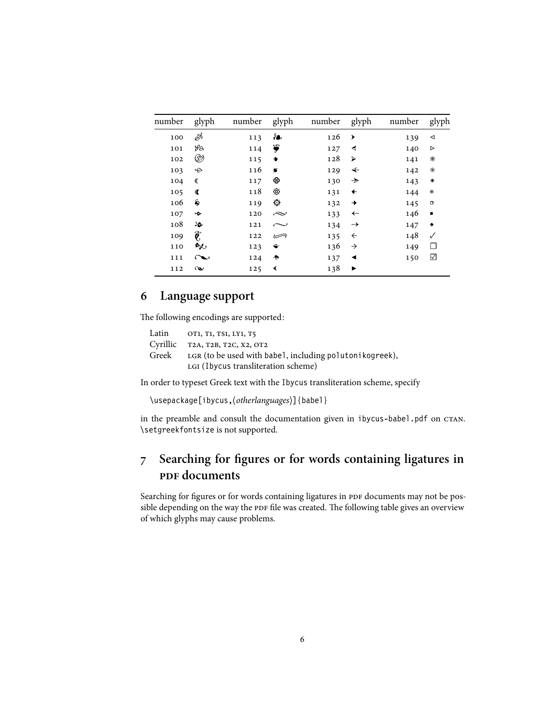| number | glyph              | number | glyph                          | number | glyph         | number | glyph                |
|--------|--------------------|--------|--------------------------------|--------|---------------|--------|----------------------|
| 100    | $\mathscr{E}$      | 113    | ៛●                             | 126    | ▶             | 139    | ◁                    |
| 101    | La                 | 114    | ₩                              | 127    | ◀             | 140    | ⊳                    |
| 102    | $^{\circledR}$     | 115    | ۰                              | 128    | ⋗             | 141    | ∗                    |
| 103    | $\div$             | 116    | $\bullet$                      | 129    | ↞             | 142    | ∗                    |
| 104    | €                  | 117    | ⊛                              | 130    | $\rightarrow$ | 143    | ∗                    |
| 105    | $\mathbf \sigma$   | 118    | ⊛                              | 131    | $\leftarrow$  | 144    | $\boldsymbol{\circ}$ |
| 106    | \$                 | 119    | $\epsilon_{\rm{int}}^{\rm{M}}$ | 132    | →             | 145    | $\Box$               |
| 107    | ç                  | 120    | $\sim$                         | 133    | $\leftarrow$  | 146    | ٠                    |
| 108    | SO.                | 121    | $\sim$                         | 134    | $\rightarrow$ | 147    | ٠                    |
| 109    | $\hat{\pmb{\ell}}$ | 122    | ڪ                              | 135    | $\leftarrow$  | 148    | $\checkmark$         |
| 110    | $\mathbf{r}$       | 123    | ←                              | 136    | $\rightarrow$ | 149    | $\Box$               |
| 111    | $\sim$             | 124    | ♣                              | 137    | ◀             | 150    | ☑                    |
| 112    | $\infty$           | 125    | ≺                              | 138    | ▶             |        |                      |

## <span id="page-5-0"></span>**6 Language support**

The following encodings are supported:

| Latin    | OT1, T1, TS1, LY1, T5                                   |
|----------|---------------------------------------------------------|
| Cyrillic | T2A, T2B, T2C, X2, OT2                                  |
| Greek    | LGR (to be used with babel, including polutonikogreek), |
|          | LGI (Ibycus transliteration scheme)                     |

In order to typeset Greek text with the Ibycus transliteration scheme, specify

\usepackage[ibycus,⟨*otherlanguages*⟩]{babel}

in the preamble and consult the documentation given in ibycus-babel.pdf on CTAN. \setgreekfontsize is not supported.

## <span id="page-5-1"></span>**7 Searching for figures or for words containing ligatures in pDF** documents

Searching for figures or for words containing ligatures in PDF documents may not be possible depending on the way the PDF file was created. The following table gives an overview of which glyphs may cause problems.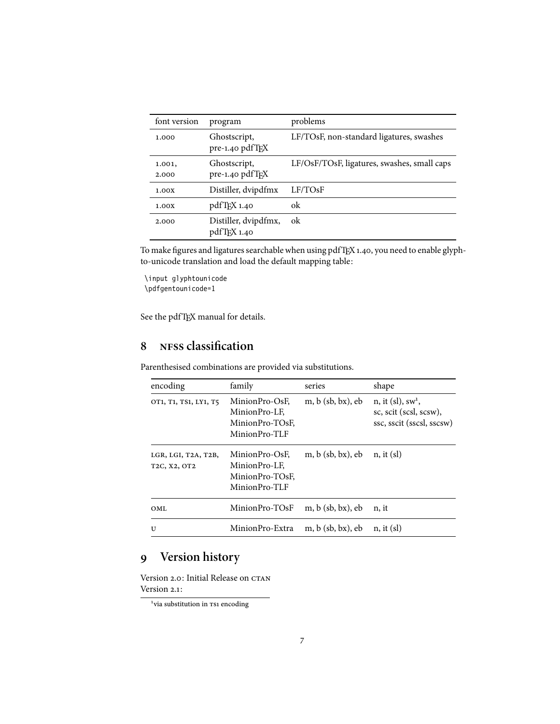| font version    | program                             | problems                                    |
|-----------------|-------------------------------------|---------------------------------------------|
| 1.000           | Ghostscript,<br>pre-1.40 pdfTFX     | LF/TOsF, non-standard ligatures, swashes    |
| 1.001,<br>2.000 | Ghostscript,<br>pre-1.40 pdfTEX     | LF/OsF/TOsF, ligatures, swashes, small caps |
| 1.00X           | Distiller, dvipdfmx                 | LF/TOsF                                     |
| 1.00X           | pdfTFX 1.40                         | ok                                          |
| 2.000           | Distiller, dvipdfmx,<br>pdfTFX 1.40 | ok                                          |

To make figures and ligatures searchable when using pdfTEX 1.40, you need to enable glyphto-unicode translation and load the default mapping table:

\input glyphtounicode \pdfgentounicode=1

See the pdfTEX manual for details.

## <span id="page-6-0"></span>**8 nfss classification**

| encoding                                                                             | family                                                              | series              | shape                                                                                   |
|--------------------------------------------------------------------------------------|---------------------------------------------------------------------|---------------------|-----------------------------------------------------------------------------------------|
| OT1, T1, TS1, LY1, T5                                                                | MinionPro-OsF.<br>MinionPro-LF.<br>MinionPro-TOsF.<br>MinionPro-TLF | $m, b$ (sb, bx), eb | $n$ , it (sl), sw <sup>1</sup> ,<br>sc, scit (scsl, scsw),<br>ssc, sscit (sscsl, sscsw) |
| LGR, LGI, T2A, T2B,<br>T <sub>2</sub> C, X <sub>2</sub> , O <sub>T<sub>2</sub></sub> | MinionPro-OsF.<br>MinionPro-LF.<br>MinionPro-TOsF.<br>MinionPro-TLF | $m, b$ (sb, bx), eb | n, it (sl)                                                                              |
| OML                                                                                  | MinionPro-TOsF                                                      | $m, b$ (sb, bx), eb | n, it                                                                                   |
| U                                                                                    | MinionPro-Extra                                                     | $m, b$ (sb, bx), eb | $n,$ it (sl)                                                                            |

Parenthesised combinations are provided via substitutions.

## <span id="page-6-1"></span>**9 Version history**

<span id="page-6-2"></span>Version 2.0: Initial Release on CTAN Version 2.1:

<sup>&</sup>lt;sup>1</sup>via substitution in TS1 encoding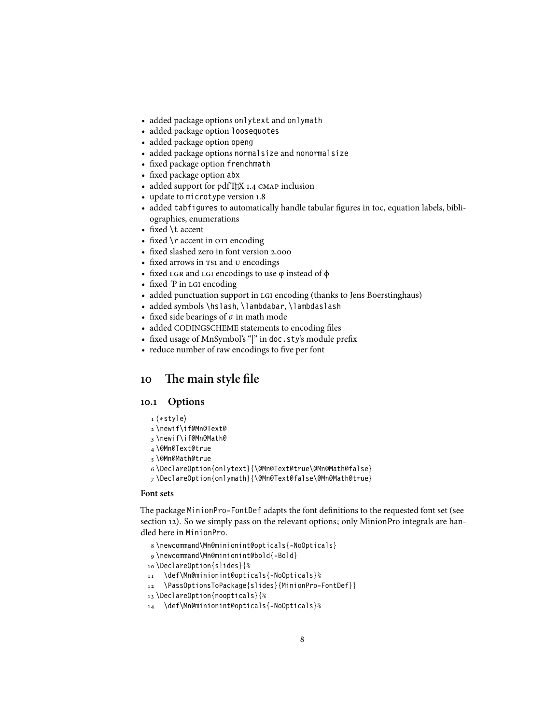- added package options onlytext and onlymath
- added package option loosequotes
- added package option openg
- added package options normalsize and nonormalsize
- fixed package option frenchmath
- fixed package option abx
- added support for pdfTFX 1.4 CMAP inclusion
- update to microtype version 1.8
- added tabfigures to automatically handle tabular figures in toc, equation labels, bibliographies, enumerations
- fixed \t accent
- fixed \r accent in or1 encoding
- fixed slashed zero in font version 2.000
- fixed arrows in TS1 and U encodings
- fixed LGR and LGI encodings to use  $\varphi$  instead of  $\varphi$
- fixed P in LGI encoding
- added punctuation support in LGI encoding (thanks to Jens Boerstinghaus)
- added symbols \hslash, \lambdabar, \lambdaslash
- fixed side bearings of  $\sigma$  in math mode
- added CODINGSCHEME statements to encoding files
- fixed usage of MnSymbol's "|" in doc.sty's module prefix
- reduce number of raw encodings to five per font

#### <span id="page-7-0"></span>**10 The main style file**

#### <span id="page-7-1"></span>**10.1 Options**

- 1 ⟨∗style⟩
- 2 \newif\if@Mn@Text@
- 3 \newif\if@Mn@Math@
- 4 \@Mn@Text@true
- 5 \@Mn@Math@true
- 6 \DeclareOption{onlytext}{\@Mn@Text@true\@Mn@Math@false}
- 7 \DeclareOption{onlymath}{\@Mn@Text@false\@Mn@Math@true}

#### **Font sets**

The package MinionPro-FontDef adapts the font definitions to the requested font set (see section [12\)](#page-27-0). So we simply pass on the relevant options; only MinionPro integrals are handled here in MinionPro.

- 8 \newcommand\Mn@minionint@opticals{-NoOpticals}
- 9 \newcommand\Mn@minionint@bold{-Bold}
- 10 \DeclareOption{slides}{%
- 11 \def\Mn@minionint@opticals{-NoOpticals}%
- 12 \PassOptionsToPackage{slides}{MinionPro-FontDef}}
- 13 \DeclareOption{noopticals}{%
- 14 \def\Mn@minionint@opticals{-NoOpticals}%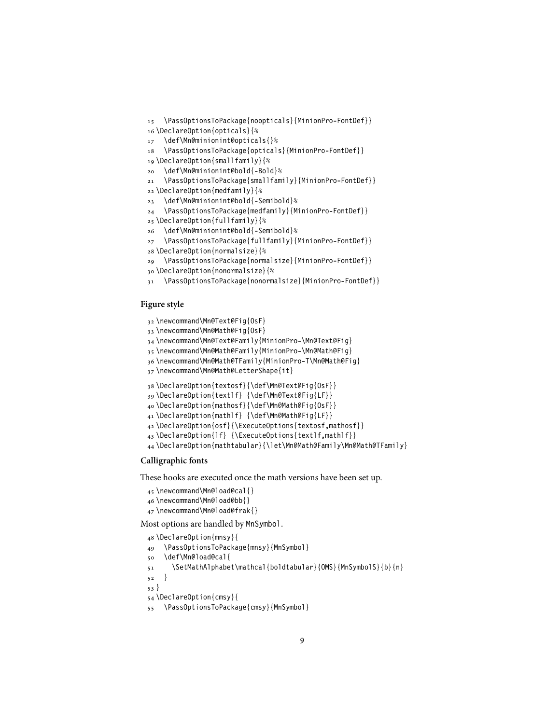```
16 \DeclareOption{opticals}{%
17 \def\Mn@minionint@opticals{}%
18 \PassOptionsToPackage{opticals}{MinionPro-FontDef}}
19 \DeclareOption{smallfamily}{%
20 \def\Mn@minionint@bold{-Bold}%
21 \PassOptionsToPackage{smallfamily}{MinionPro-FontDef}}
22 \DeclareOption{medfamily}{%
23 \def\Mn@minionint@bold{-Semibold}%
24 \PassOptionsToPackage{medfamily}{MinionPro-FontDef}}
25 \DeclareOption{fullfamily}{%
26 \def\Mn@minionint@bold{-Semibold}%
27 \PassOptionsToPackage{fullfamily}{MinionPro-FontDef}}
28 \DeclareOption{normalsize}{%
29 \PassOptionsToPackage{normalsize}{MinionPro-FontDef}}
30 \DeclareOption{nonormalsize}{%
```
\PassOptionsToPackage{noopticals}{MinionPro-FontDef}}

```
31 \PassOptionsToPackage{nonormalsize}{MinionPro-FontDef}}
```
#### **Figure style**

```
32 \newcommand\Mn@Text@Fig{OsF}
33 \newcommand\Mn@Math@Fig{OsF}
34 \newcommand\Mn@Text@Family{MinionPro-\Mn@Text@Fig}
35 \newcommand\Mn@Math@Family{MinionPro-\Mn@Math@Fig}
36 \newcommand\Mn@Math@TFamily{MinionPro-T\Mn@Math@Fig}
37 \newcommand\Mn@Math@LetterShape{it}
38 \DeclareOption{textosf}{\def\Mn@Text@Fig{OsF}}
39 \DeclareOption{textlf} {\def\Mn@Text@Fig{LF}}
40 \DeclareOption{mathosf}{\def\Mn@Math@Fig{OsF}}
41 \DeclareOption{mathlf} {\def\Mn@Math@Fig{LF}}
42 \DeclareOption{osf}{\ExecuteOptions{textosf,mathosf}}
43 \DeclareOption{lf} {\ExecuteOptions{textlf,mathlf}}
44 \DeclareOption{mathtabular}{\let\Mn@Math@Family\Mn@Math@TFamily}
```
#### **Calligraphic fonts**

These hooks are executed once the math versions have been set up.

```
45 \newcommand\Mn@load@cal{}
46 \newcommand\Mn@load@bb{}
47 \newcommand\Mn@load@frak{}
```
Most options are handled by MnSymbol.

```
48 \DeclareOption{mnsy}{
49 \PassOptionsToPackage{mnsy}{MnSymbol}
50 \def\Mn@load@cal{
51 \SetMathAlphabet\mathcal{boldtabular}{OMS}{MnSymbolS}{b}{n}
52 }
53 }
54 \DeclareOption{cmsy}{
55 \PassOptionsToPackage{cmsy}{MnSymbol}
```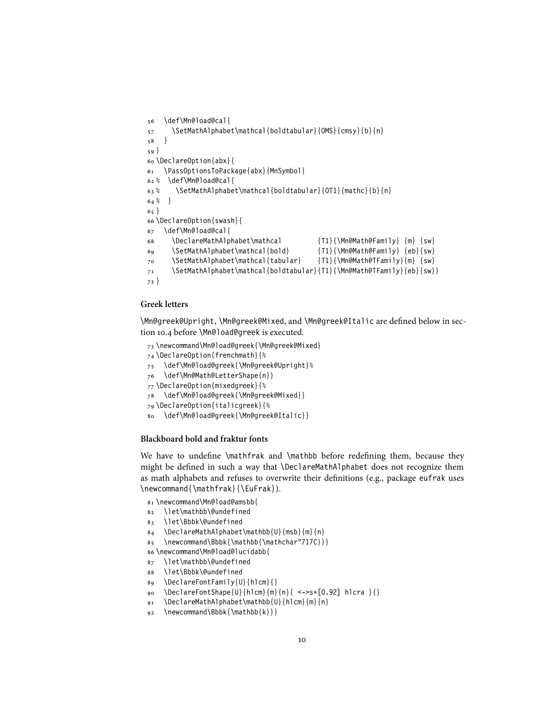```
56 \def\Mn@load@cal{
57 \SetMathAlphabet\mathcal{boldtabular}{OMS}{cmsy}{b}{n}
58 }
59 }
60 \DeclareOption{abx}{
61 \PassOptionsToPackage{abx}{MnSymbol}
62 % \def\Mn@load@cal{
63 % \SethathAlphabet\mathcal{B}^{bol}^{OTI} \{mathcal{B}^{h}\}64 % }
65 }
66 \DeclareOption{swash}{
67 \def\Mn@load@cal{
68 \DeclareMathAlphabet\mathcal {T1}{\Mn@Math@Family} {m} {sw}
69 \SetMathAlphabet\mathcal{bold} {T1}{\Mn@Math@Family} {eb}{sw}
70 \SetMathAlphabet\mathcal{tabular} {T1}{\Mn@Math@TFamily}{m} {sw}
71 \SetMathAlphabet\mathcal{boldtabular}{T1}{\Mn@Math@TFamily}{eb}{sw}}
72 }
```
#### **Greek letters**

\Mn@greek@Upright, \Mn@greek@Mixed, and \Mn@greek@Italic are defined below in section [10.4](#page-12-1) before \Mn@load@greek is executed.

```
73 \newcommand\Mn@load@greek{\Mn@greek@Mixed}
74 \DeclareOption{frenchmath}{%
75 \def\Mn@load@greek{\Mn@greek@Upright}%
76 \def\Mn@Math@LetterShape{n}}
77 \DeclareOption{mixedgreek}{%
78 \def\Mn@load@greek{\Mn@greek@Mixed}}
79 \DeclareOption{italicgreek}{%
80 \def\Mn@load@greek{\Mn@greek@Italic}}
```
#### **Blackboard bold and fraktur fonts**

We have to undefine \mathfrak and \mathbb before redefining them, because they might be defined in such a way that \DeclareMathAlphabet does not recognize them as math alphabets and refuses to overwrite their definitions (e.g., package eufrak uses \newcommand{\mathfrak}{\EuFrak}).

\newcommand\Mn@load@amsbb{

- \let\mathbb\@undefined
- \let\Bbbk\@undefined
- \DeclareMathAlphabet\mathbb{U}{msb}{m}{n}
- 85 \newcommand\Bbbk{\mathbb{\mathchar"717C}}}
- \newcommand\Mn@load@lucidabb{
- \let\mathbb\@undefined
- \let\Bbbk\@undefined
- 89 \DeclareFontFamily{U}{hlcm}{}
- \DeclareFontShape{U}{hlcm}{m}{n}{ <->s\*[0.92] hlcra }{}
- \DeclareMathAlphabet\mathbb{U}{hlcm}{m}{n}
- \newcommand\Bbbk{\mathbb{k}}}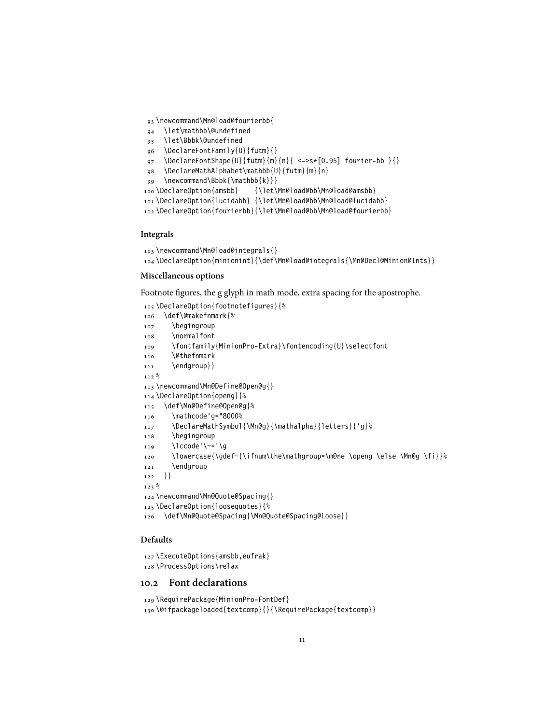- \newcommand\Mn@load@fourierbb{
- \let\mathbb\@undefined
- \let\Bbbk\@undefined
- \DeclareFontFamily{U}{futm}{}
- \DeclareFontShape{U}{futm}{m}{n}{ <->s\*[0.95] fourier-bb }{}
- \DeclareMathAlphabet\mathbb{U}{futm}{m}{n}
- \newcommand\Bbbk{\mathbb{k}}}
- 100 \DeclareOption{amsbb} {\let\Mn@load@bb\Mn@load@amsbb}
- \DeclareOption{lucidabb} {\let\Mn@load@bb\Mn@load@lucidabb}
- \DeclareOption{fourierbb}{\let\Mn@load@bb\Mn@load@fourierbb}

#### **Integrals**

```
103 \newcommand\Mn@load@integrals{}
104 \DeclareOption{minionint}{\def\Mn@load@integrals{\Mn@Decl@Minion@Ints}}
```
#### **Miscellaneous options**

Footnote figures, the g glyph in math mode, extra spacing for the apostrophe.

```
105 \DeclareOption{footnotefigures}{%
106 \def\@makefnmark{%
107 \begingroup
108 \normalfont
109 \fontfamily{MinionPro-Extra}\fontencoding{U}\selectfont
110 \@thefnmark
111 \endgroup} }
_{\text{112}} %
113 \newcommand\Mn@Define@Open@g{}
114 \DeclareOption{openg}{%
115 \def\Mn@Define@Open@g{%
116 \mathcode'g="8000%
117 \DeclareMathSymbol{\Mn@g}{\mathalpha}{letters}{'g}%
118 \begingroup
119 \lccode'\~='\g
120 \lowercase{\gdef~{\ifnum\the\mathgroup=\m@ne \openg \else \Mn@g \fi}}%
121 \endgroup
122 }}
123 %
124 \newcommand\Mn@Quote@Spacing{}
125 \DeclareOption{loosequotes}{%
126 \def\Mn@Quote@Spacing{\Mn@Quote@Spacing@Loose}}
```
#### **Defaults**

```
127 \ExecuteOptions{amsbb,eufrak}
128 \ProcessOptions\relax
```
#### <span id="page-10-0"></span>**10.2 Font declarations**

```
129 \RequirePackage{MinionPro-FontDef}
130 \@ifpackageloaded{textcomp}{}{\RequirePackage{textcomp}}
```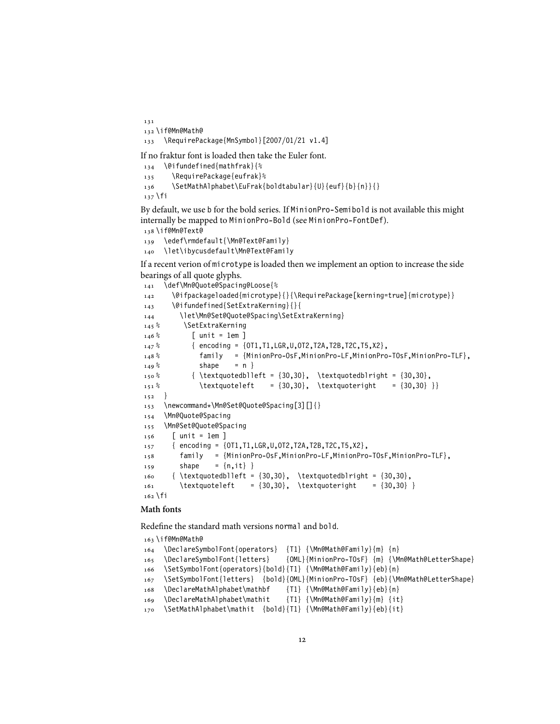```
131
132 \if@Mn@Math@
133 \RequirePackage{MnSymbol}[2007/01/21 v1.4]
```
If no fraktur font is loaded then take the Euler font.

```
134 \@ifundefined{mathfrak}{%
135 \RequirePackage{eufrak}%
136 \SetMathAlphabet\EuFrak{boldtabular}{U}{euf}{b}{n}}{}
137 \fi
```
By default, we use b for the bold series. If MinionPro-Semibold is not available this might internally be mapped to MinionPro-Bold (see MinionPro-FontDef). \if@Mn@Text@

 \edef\rmdefault{\Mn@Text@Family} \let\ibycusdefault\Mn@Text@Family

If a recent verion of microtype is loaded then we implement an option to increase the side bearings of all quote glyphs.

```
141 \def\Mn@Quote@Spacing@Loose{%
142 \@ifpackageloaded{microtype}{}{\RequirePackage[kerning=true]{microtype}}
143 \@ifundefined{SetExtraKerning}{}{
144 \let\Mn@Set@Quote@Spacing\SetExtraKerning}
145% \SetExtraKerning
146\% [ unit = 1em ]
147 % { encoding = {OT1,T1,LGR,U,OT2,T2A,T2B,T2C,T5,X2},
148 % family = {MinionPro-OsF,MinionPro-LF,MinionPro-TOsF,MinionPro-TLF},
149\% shape = n }
150\% {\textquotedblleft = {30,30}, \textquotedblright = {30,30},
151\% \textquoteleft = {30,30}, \textquoteright = {30,30} }}
152 }
153 \newcommand*\Mn@Set@Quote@Spacing[3][]{}
154 \Mn@Quote@Spacing
155 \Mn@Set@Quote@Spacing
156 [ unit = 1em ]
157 { encoding = {OT1,T1,LGR,U,OT2,T2A,T2B,T2C,T5,X2},
158 family = {MinionPro-OsF,MinionPro-LF,MinionPro-TOsF,MinionPro-TLF},
159 shape = \{n, it\}}
160 { \textquotedblleft = \{30,30\}, \textquotedblright = \{30,30\},
161 \textquoteleft = {30,30}, \textquoteright = {30,30} }
162 \fi
```
#### **Math fonts**

Redefine the standard math versions normal and bold.

```
163 \if@Mn@Math@
164 \DeclareSymbolFont{operators} {T1} {\Mn@Math@Family}{m} {n}
165 \DeclareSymbolFont{letters} {OML}{MinionPro-TOsF} {m} {\Mn@Math@LetterShape}
166 \SetSymbolFont{operators}{bold}{T1} {\Mn@Math@Family}{eb}{n}
167 \SetSymbolFont{letters} {bold}{OML}{MinionPro-TOsF} {eb}{\Mn@Math@LetterShape}
168 \DeclareMathAlphabet\mathbf {T1} {\Mn@Math@Family}{eb}{n}
169 \DeclareMathAlphabet\mathit {T1} {\Mn@Math@Family}{m} {it}
170 \SetMathAlphabet\mathit {bold}{T1} {\Mn@Math@Family}{eb}{it}
```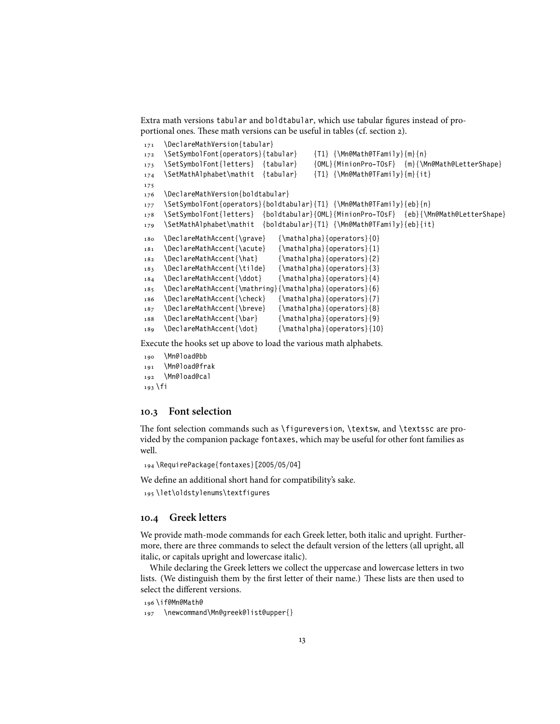Extra math versions tabular and boldtabular, which use tabular figures instead of proportional ones. These math versions can be useful in tables (cf. section [2\)](#page-1-1).

```
171 \DeclareMathVersion{tabular}
172 \SetSymbolFont{operators}{tabular} {T1} {\Mn@Math@TFamily}{m}{n}
173 \SetSymbolFont{letters} {tabular} {OML}{MinionPro-TOsF} {m}{\Mn@Math@LetterShape}
174 \SetMathAlphabet\mathit {tabular} {T1} {\Mn@Math@TFamily}{m}{it}
175
176 \DeclareMathVersion{boldtabular}
177 \SetSymbolFont{operators}{boldtabular}{T1} {\Mn@Math@TFamily}{eb}{n}
178 \SetSymbolFont{letters} {boldtabular}{OML}{MinionPro-TOsF} {eb}{\Mn@Math@LetterShape}
179 \SetMathAlphabet\mathit {boldtabular}{T1} {\Mn@Math@TFamily}{eb}{it}
180 \DeclareMathAccent{\grave} {\mathalpha}{operators}{0}
181 \DeclareMathAccent{\acute} {\mathalpha}{operators}{1}
182 \DeclareMathAccent{\hat} {\mathalpha}{operators}{2}
183 \DeclareMathAccent{\tilde} {\mathalpha}{operators}{3}
184 \DeclareMathAccent{\ddot} {\mathalpha}{operators}{4}
185 \DeclareMathAccent{\mathring}{\mathalpha}{operators}{6}
186 \DeclareMathAccent{\check} {\mathalpha}{operators}{7}
187 \DeclareMathAccent{\breve} {\mathalpha}{operators}{8}
188 \DeclareMathAccent{\bar} {\mathalpha}{operators}{9}
189 \DeclareMathAccent{\dot} {\mathalpha}{operators}{10}
```
Execute the hooks set up above to load the various math alphabets.

```
190 \Mn@load@bb
191 \Mn@load@frak
192 \Mn@load@cal
193 \fi
```
#### <span id="page-12-0"></span>**10.3 Font selection**

The font selection commands such as \figureversion, \textsw, and \textssc are provided by the companion package fontaxes, which may be useful for other font families as well.

194 \RequirePackage{fontaxes}[2005/05/04]

We define an additional short hand for compatibility's sake.

195 \let\oldstylenums\textfigures

#### <span id="page-12-1"></span>**10.4 Greek letters**

We provide math-mode commands for each Greek letter, both italic and upright. Furthermore, there are three commands to select the default version of the letters (all upright, all italic, or capitals upright and lowercase italic).

While declaring the Greek letters we collect the uppercase and lowercase letters in two lists. (We distinguish them by the first letter of their name.) These lists are then used to select the different versions.

196 \if@Mn@Math@

197 \newcommand\Mn@greek@list@upper{}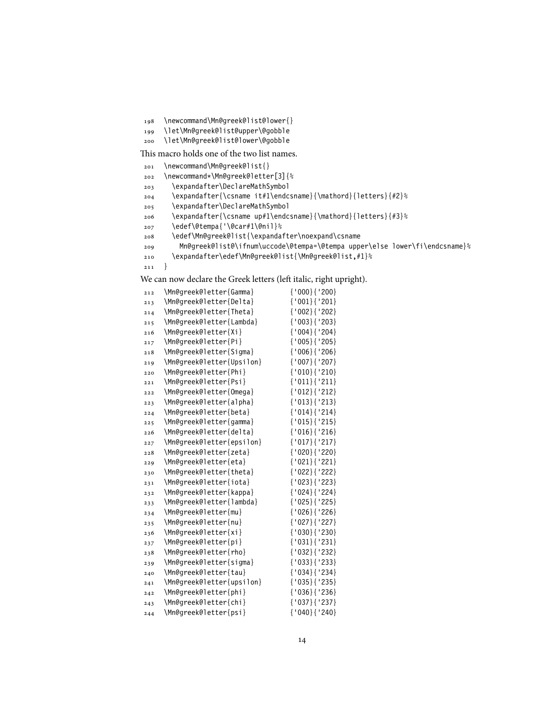```
198 \newcommand\Mn@greek@list@lower{}
```

```
199 \let\Mn@greek@list@upper\@gobble
```
\let\Mn@greek@list@lower\@gobble

This macro holds one of the two list names.

```
201 \newcommand\Mn@greek@list{}
```

```
202 \newcommand*\Mn@greek@letter[3]{%
```
- \expandafter\DeclareMathSymbol
- \expandafter{\csname it#1\endcsname}{\mathord}{letters}{#2}%
- \expandafter\DeclareMathSymbol

```
206 \expandafter{\csname up#1\endcsname}{\mathord}{letters}{#3}%
```
- \edef\@tempa{'\@car#1\@nil}%
- \edef\Mn@greek@list{\expandafter\noexpand\csname
- Mn@greek@list@\ifnum\uccode\@tempa=\@tempa upper\else lower\fi\endcsname}%
- \expandafter\edef\Mn@greek@list{\Mn@greek@list,#1}%
- }

We can now declare the Greek letters (left italic, right upright).

| 212 | \Mn@greek@letter{Gamma}   | ${000}$ { '200}      |
|-----|---------------------------|----------------------|
| 213 | \Mn@greek@letter{Delta}   | ${'001}{'201}$       |
| 214 | \Mn@greek@letter{Theta}   | ${'002}$ ${'202}$    |
| 215 | \Mn@greek@letter{Lambda}  | ${'003}$ ${'203}$    |
| 216 | \Mn@greek@letter{Xi}      | ${'004}$ ${'204}$    |
| 217 | \Mn@greek@letter{Pi}      | ${'005}{'$ ('205}    |
| 218 | \Mn@greek@letter{Sigma}   | ${'006}{'$ ${'206}$  |
| 219 | \Mn@greek@letter{Upsilon} | ${'007}$ ${'207}$    |
| 220 | \Mn@greek@letter{Phi}     | ${'010}{'210}$       |
| 221 | \Mn@greek@letter{Psi}     | ${'011}{'1211}$      |
| 222 | \Mn@greek@letter{Omega}   | ${'012} {'212}$      |
| 223 | \Mn@greek@letter{alpha}   | ${'013}{'1213}$      |
| 224 | \Mn@greek@letter{beta}    | ${'014}$ ${'214}$    |
| 225 | \Mn@greek@letter{gamma}   | ${'015}{'1215}$      |
| 226 | \Mn@greek@letter{delta}   | ${'016}{'216}$       |
| 227 | \Mn@greek@letter{epsilon} | ${'017}{'1217}$      |
| 228 | \Mn@greek@letter{zeta}    | ${'020}{'$ ${'}220}$ |
| 229 | \Mn@greek@letter{eta}     | ${'021}{'221}$       |
| 230 | \Mn@greek@letter{theta}   | {'022}{'222}         |
| 231 | \Mn@greek@letter{iota}    | ${'023}$ ${'223}$    |
| 232 | \Mn@greek@letter{kappa}   | ${'024}$ ${'224}$    |
| 233 | \Mn@greek@letter{lambda}  | ${'025}{'1225}$      |
| 234 | \Mn@greek@letter{mu}      | ${'026}{'226}$       |
| 235 | \Mn@greek@letter{nu}      | {'027}{'227}         |
| 236 | \Mn@greek@letter{xi}      | ${'030}$ ${'230}$    |
| 237 | \Mn@greek@letter{pi}      | ${'031}$ ${'231}$    |
| 238 | \Mn@greek@letter{rho}     | ${'032}$ ${'232}$    |
| 239 | \Mn@greek@letter{sigma}   | ${'033}$ ${'233}$    |
| 240 | \Mn@greek@letter{tau}     | ${'034}$ ${''234}$   |
| 241 | \Mn@greek@letter{upsilon} | ${'035}{'$ ${'235}$  |
| 242 | \Mn@greek@letter{phi}     | ${'036}{'1236}$      |
| 243 | \Mn@greek@letter{chi}     | ${'037}$ ${'237}$    |
| 244 | \Mn@greek@letter{psi}     | ${'040}{'$ ('240}    |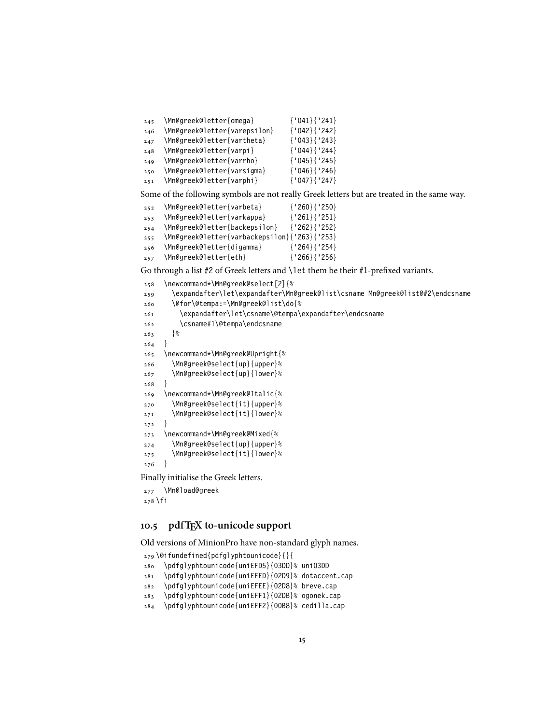\Mn@greek@letter{omega} {'041}{'241}

- \Mn@greek@letter{varepsilon} {'042}{'242}
- \Mn@greek@letter{vartheta} {'043}{'243}
- \Mn@greek@letter{varpi} {'044}{'244}
- \Mn@greek@letter{varrho} {'045}{'245}
- \Mn@greek@letter{varsigma} {'046}{'246}
- \Mn@greek@letter{varphi} {'047}{'247}

Some of the following symbols are not really Greek letters but are treated in the same way.

```
252 \Mn@greek@letter{varbeta} {'260}{'250}
253 \Mn@greek@letter{varkappa} {'261}{'251}
254 \Mn@greek@letter{backepsilon} {'262}{'252}
255 \Mn@greek@letter{varbackepsilon}{'263}{'253}
256 \Mn@greek@letter{digamma} {'264}{'254}
257 \Mn@greek@letter{eth} {'266}{'256}
```
Go through a list #2 of Greek letters and \let them be their #1-prefixed variants.

```
258 \newcommand*\Mn@greek@select[2]{%
259 \expandafter\let\expandafter\Mn@greek@list\csname Mn@greek@list@#2\endcsname
260 \@for\@tempa:=\Mn@greek@list\do{%
261 \expandafter\let\csname\@tempa\expandafter\endcsname
262 \csname#1\@tempa\endcsname
263 }%
264265 \newcommand*\Mn@greek@Upright{%
266 \Mn@greek@select{up}{upper}%
267 \Mn@greek@select{up}{lower}%
268269 \newcommand*\Mn@greek@Italic{%
270 \Mn@greek@select{it}{upper}%
271 \Mn@greek@select{it}{lower}%
272 }
273 \newcommand*\Mn@greek@Mixed{%
274 \Mn@greek@select{up}{upper}%
275 \Mn@greek@select{it}{lower}%
276 }
Finally initialise the Greek letters.
```
 \Mn@load@greek \fi

#### <span id="page-14-0"></span>**10.5 pdfTEX to-unicode support**

Old versions of MinionPro have non-standard glyph names.

```
279 \@ifundefined{pdfglyphtounicode}{}{
280 \pdfglyphtounicode{uniEFD5}{03DD}% uni03DD
281 \pdfglyphtounicode{uniEFED}{02D9}% dotaccent.cap
282 \pdfglyphtounicode{uniEFEE}{02D8}% breve.cap
283 \pdfglyphtounicode{uniEFF1}{02DB}% ogonek.cap
284 \pdfglyphtounicode{uniEFF2}{00B8}% cedilla.cap
```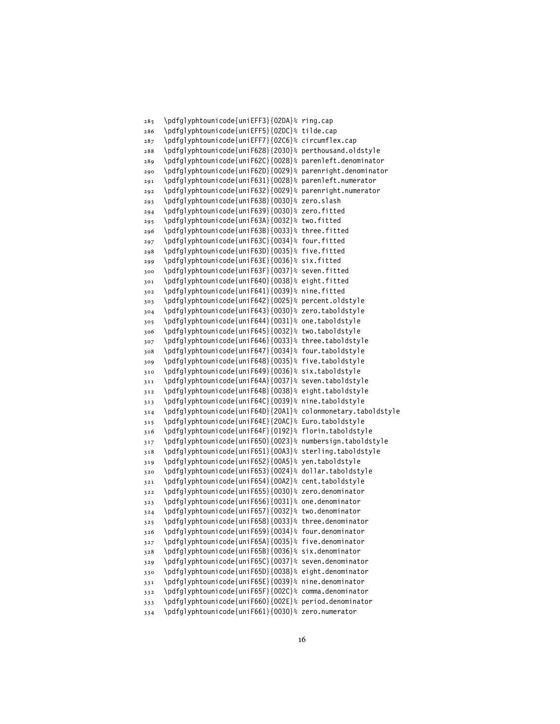\pdfglyphtounicode{uniEFF3}{02DA}% ring.cap \pdfglyphtounicode{uniEFF5}{02DC}% tilde.cap \pdfglyphtounicode{uniEFF7}{02C6}% circumflex.cap \pdfglyphtounicode{uniF628}{2030}% perthousand.oldstyle \pdfglyphtounicode{uniF62C}{0028}% parenleft.denominator \pdfglyphtounicode{uniF62D}{0029}% parenright.denominator \pdfglyphtounicode{uniF631}{0028}% parenleft.numerator \pdfglyphtounicode{uniF632}{0029}% parenright.numerator \pdfglyphtounicode{uniF638}{0030}% zero.slash \pdfglyphtounicode{uniF639}{0030}% zero.fitted \pdfglyphtounicode{uniF63A}{0032}% two.fitted \pdfglyphtounicode{uniF63B}{0033}% three.fitted \pdfglyphtounicode{uniF63C}{0034}% four.fitted \pdfglyphtounicode{uniF63D}{0035}% five.fitted \pdfglyphtounicode{uniF63E}{0036}% six.fitted \pdfglyphtounicode{uniF63F}{0037}% seven.fitted \pdfglyphtounicode{uniF640}{0038}% eight.fitted \pdfglyphtounicode{uniF641}{0039}% nine.fitted \pdfglyphtounicode{uniF642}{0025}% percent.oldstyle \pdfglyphtounicode{uniF643}{0030}% zero.taboldstyle \pdfglyphtounicode{uniF644}{0031}% one.taboldstyle \pdfglyphtounicode{uniF645}{0032}% two.taboldstyle \pdfglyphtounicode{uniF646}{0033}% three.taboldstyle \pdfglyphtounicode{uniF647}{0034}% four.taboldstyle \pdfglyphtounicode{uniF648}{0035}% five.taboldstyle \pdfglyphtounicode{uniF649}{0036}% six.taboldstyle \pdfglyphtounicode{uniF64A}{0037}% seven.taboldstyle \pdfglyphtounicode{uniF64B}{0038}% eight.taboldstyle \pdfglyphtounicode{uniF64C}{0039}% nine.taboldstyle \pdfglyphtounicode{uniF64D}{20A1}% colonmonetary.taboldstyle \pdfglyphtounicode{uniF64E}{20AC}% Euro.taboldstyle \pdfglyphtounicode{uniF64F}{0192}% florin.taboldstyle \pdfglyphtounicode{uniF650}{0023}% numbersign.taboldstyle \pdfglyphtounicode{uniF651}{00A3}% sterling.taboldstyle \pdfglyphtounicode{uniF652}{00A5}% yen.taboldstyle \pdfglyphtounicode{uniF653}{0024}% dollar.taboldstyle \pdfglyphtounicode{uniF654}{00A2}% cent.taboldstyle \pdfglyphtounicode{uniF655}{0030}% zero.denominator \pdfglyphtounicode{uniF656}{0031}% one.denominator \pdfglyphtounicode{uniF657}{0032}% two.denominator \pdfglyphtounicode{uniF658}{0033}% three.denominator \pdfglyphtounicode{uniF659}{0034}% four.denominator \pdfglyphtounicode{uniF65A}{0035}% five.denominator \pdfglyphtounicode{uniF65B}{0036}% six.denominator \pdfglyphtounicode{uniF65C}{0037}% seven.denominator \pdfglyphtounicode{uniF65D}{0038}% eight.denominator \pdfglyphtounicode{uniF65E}{0039}% nine.denominator \pdfglyphtounicode{uniF65F}{002C}% comma.denominator \pdfglyphtounicode{uniF660}{002E}% period.denominator \pdfglyphtounicode{uniF661}{0030}% zero.numerator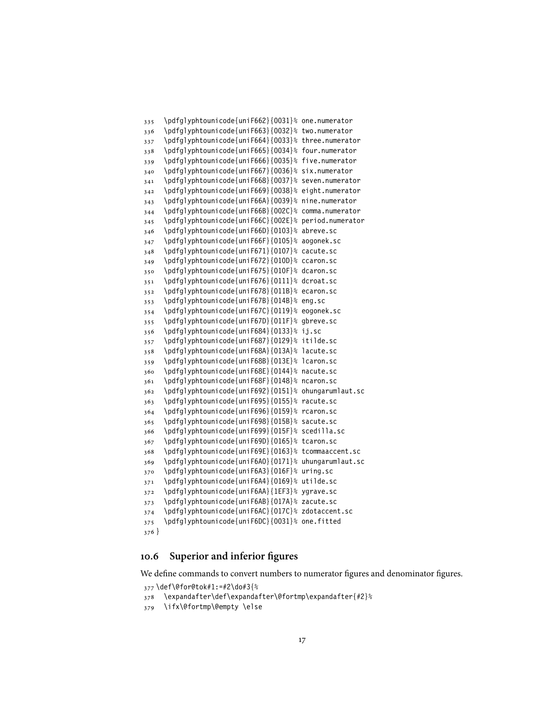```
335 \pdfglyphtounicode{uniF662}{0031}% one.numerator
336 \pdfglyphtounicode{uniF663}{0032}% two.numerator
337 \pdfglyphtounicode{uniF664}{0033}% three.numerator
338 \pdfglyphtounicode{uniF665}{0034}% four.numerator
339 \pdfglyphtounicode{uniF666}{0035}% five.numerator
340 \pdfglyphtounicode{uniF667}{0036}% six.numerator
341 \pdfglyphtounicode{uniF668}{0037}% seven.numerator
342 \pdfglyphtounicode{uniF669}{0038}% eight.numerator
343 \pdfglyphtounicode{uniF66A}{0039}% nine.numerator
344 \pdfglyphtounicode{uniF66B}{002C}% comma.numerator
345 \pdfglyphtounicode{uniF66C}{002E}% period.numerator
346 \pdfglyphtounicode{uniF66D}{0103}% abreve.sc
347 \pdfglyphtounicode{uniF66F}{0105}% aogonek.sc
348 \pdfglyphtounicode{uniF671}{0107}% cacute.sc
349 \pdfglyphtounicode{uniF672}{010D}% ccaron.sc
350 \pdfglyphtounicode{uniF675}{010F}% dcaron.sc
351 \pdfglyphtounicode{uniF676}{0111}% dcroat.sc
352 \pdfglyphtounicode{uniF678}{011B}% ecaron.sc
353 \pdfglyphtounicode{uniF67B}{014B}% eng.sc
354 \pdfglyphtounicode{uniF67C}{0119}% eogonek.sc
355 \pdfglyphtounicode{uniF67D}{011F}% gbreve.sc
356 \pdfglyphtounicode{uniF684}{0133}% ij.sc
357 \pdfglyphtounicode{uniF687}{0129}% itilde.sc
358 \pdfglyphtounicode{uniF68A}{013A}% lacute.sc
359 \pdfglyphtounicode{uniF68B}{013E}% lcaron.sc
360 \pdfglyphtounicode{uniF68E}{0144}% nacute.sc
361 \pdfglyphtounicode{uniF68F}{0148}% ncaron.sc
362 \pdfglyphtounicode{uniF692}{0151}% ohungarumlaut.sc
363 \pdfglyphtounicode{uniF695}{0155}% racute.sc
364 \pdfglyphtounicode{uniF696}{0159}% rcaron.sc
365 \pdfglyphtounicode{uniF698}{015B}% sacute.sc
366 \pdfglyphtounicode{uniF699}{015F}% scedilla.sc
367 \pdfglyphtounicode{uniF69D}{0165}% tcaron.sc
368 \pdfglyphtounicode{uniF69E}{0163}% tcommaaccent.sc
369 \pdfglyphtounicode{uniF6A0}{0171}% uhungarumlaut.sc
370 \pdfglyphtounicode{uniF6A3}{016F}% uring.sc
371 \pdfglyphtounicode{uniF6A4}{0169}% utilde.sc
372 \pdfglyphtounicode{uniF6AA}{1EF3}% ygrave.sc
373 \pdfglyphtounicode{uniF6AB}{017A}% zacute.sc
374 \pdfglyphtounicode{uniF6AC}{017C}% zdotaccent.sc
375 \pdfglyphtounicode{uniF6DC}{0031}% one.fitted
376 }
```
#### <span id="page-16-0"></span>**10.6 Superior and inferior figures**

We define commands to convert numbers to numerator figures and denominator figures.

```
377 \def\@for@tok#1:=#2\do#3{%
378 \expandafter\def\expandafter\@fortmp\expandafter{#2}%
```

```
379 \ifx\@fortmp\@empty \else
```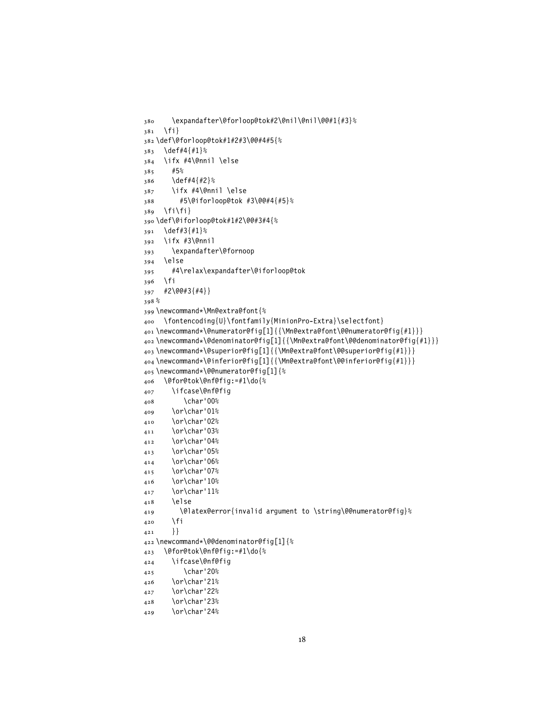```
380 \expandafter\@forloop@tok#2\@nil\@nil\@@#1{#3}%
381 \quad \{f_i\}382 \def\@forloop@tok#1#2#3\@@#4#5{%
383 \def#4{#1}%
384 \ifx #4\@nnil \else
385 #5%
386 \def#4{#2}%
387 \ifx #4\@nnil \else
388 #5\@iforloop@tok #3\@@#4{#5}%
389 \fi\fi}
390 \def\@iforloop@tok#1#2\@@#3#4{%
391 \def#3{#1}%
392 \ifx #3\@nnil
393 \expandafter\@fornoop
394 \else
395 #4\relax\expandafter\@iforloop@tok
396 \fi
397 #2\@@#3{#4}}
398 %
399 \newcommand*\Mn@extra@font{%
400 \fontencoding{U}\fontfamily{MinionPro-Extra}\selectfont}
401 \newcommand*\@numerator@fig[1]{{\Mn@extra@font\@@numerator@fig{#1}}}
402 \newcommand*\@denominator@fig[1]{{\Mn@extra@font\@@denominator@fig{#1}}}
403 \newcommand*\@superior@fig[1]{{\Mn@extra@font\@@superior@fig{#1}}}
404 \newcommand*\@inferior@fig[1]{{\Mn@extra@font\@@inferior@fig{#1}}}
405 \newcommand*\@@numerator@fig[1]{%
406 \@for@tok\@nf@fig:=#1\do{%
407 \ifcase\@nf@fig
408 \char'00%
409 \or\char'01%
410 \or\char'02%
411 \or\char'03%
412 \or\char'04%
413 \or\char'05%
414 \or\char'06%
415 \or\char'07%
416 \or\char'10%
417 \or\char'11%
418 \else
419 \@latex@error{invalid argument to \string\@@numerator@fig}%
420 \fi
421 }
422 \newcommand*\@@denominator@fig[1]{%
423 \@for@tok\@nf@fig:=#1\do{%
424 \ifcase\@nf@fig
425 \char'20%
426 \or\char'21%
427 \or\char'22%
428 \or\char'23%
429 \or\char'24%
```

```
18
```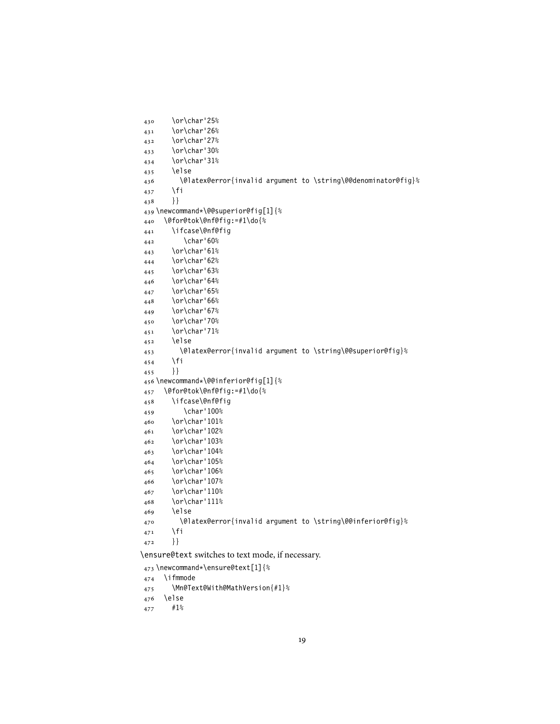```
430 \or\char'25%
431 \or\char'26%
432 \or\char'27%
433 \or\char'30%
434 \or\char'31%
435 \else
436 \@latex@error{invalid argument to \string\@@denominator@fig}%
437 \fi
438 }}
439 \newcommand*\@@superior@fig[1]{%
440 \@for@tok\@nf@fig:=#1\do{%
441 \ifcase\@nf@fig
442 \char'60%
443 \or\char'61%
444 \or\char'62%
445 \or\char'63%
446 \or\char'64%
447 \or\char'65%
448 \or\char'66%
449 \or\char'67%
450 \or\char'70%
451 \or\char'71%
452 \else
453 \@latex@error{invalid argument to \string\@@superior@fig}%
454 \fi
455 }}
456 \newcommand*\@@inferior@fig[1]{%
457 \@for@tok\@nf@fig:=#1\do{%
458 \ifcase\@nf@fig
459 \char'100%
460 \or\char'101%
461 \or\char'102%
462 \or\char'103%
463 \or\char'104%
464 \or\char'105%
465 \or\char'106%
466 \or\char'107%
467 \or\char'110%
468 \or\char'111%
469 \else
470 \@latex@error{invalid argument to \string\@@inferior@fig}%
471 \fi
472 }}
```
\ensure@text switches to text mode, if necessary.

```
473 \newcommand*\ensure@text[1]{%
474 \ifmmode
475 \Mn@Text@With@MathVersion{#1}%
```
\else

```
477 #1%
```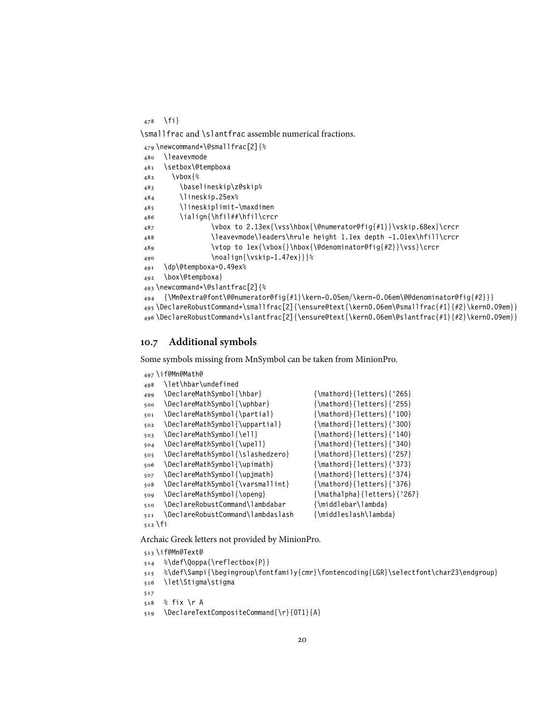\fi}

\smallfrac and \slantfrac assemble numerical fractions.

```
479 \newcommand*\@smallfrac[2]{%
480 \leavevmode
481 \setbox\@tempboxa
482 \vbox{%
483 \baselineskip\z@skip%
484 \lineskip.25ex%
485 \lineskiplimit-\maxdimen
486 \ialign{\hfil##\hfil\crcr
487 \vbox to 2.13ex{\vss\hbox{\@numerator@fig{#1}}\vskip.68ex}\crcr
488 \leavevmode\leaders\hrule height 1.1ex depth -1.01ex\hfill\crcr
489 \vtop to 1ex{\vbox{}\hbox{\@denominator@fig{#2}}\vss}\crcr
490 \noalign{\vskip-1.47ex}}}%
491 \dp\@tempboxa=0.49ex%
492 \box\@tempboxa}
493 \newcommand*\@slantfrac[2]{%
494 {\Mn@extra@font\@@numerator@fig{#1}\kern-0.05em/\kern-0.06em\@@denominator@fig{#2}}}
495 \DeclareRobustCommand*\smallfrac[2]{\ensure@text{\kern0.06em\@smallfrac{#1}{#2}\kern0.09em}}
496 \DeclareRobustCommand*\slantfrac[2]{\ensure@text{\kern0.06em\@slantfrac{#1}{#2}\kern0.09em}}
```
#### <span id="page-19-0"></span>**10.7 Additional symbols**

Some symbols missing from MnSymbol can be taken from MinionPro.

```
497 \if@Mn@Math@
498 \let\hbar\undefined
499 \DeclareMathSymbol{\hbar} {\mathord}{letters}{'265}
500 \DeclareMathSymbol{\uphbar} {\mathord}{letters}{'255}
501 \DeclareMathSymbol{\partial} {\mathord}{letters}{'100}
502 \DeclareMathSymbol{\uppartial} {\mathord}{letters}{'300}
503 \DeclareMathSymbol{\ell} {\mathord}{letters}{'140}
504 \DeclareMathSymbol{\upell} {\mathord}{letters}{'340}
505 \DeclareMathSymbol{\slashedzero} {\mathord}{letters}{'257}
506 \DeclareMathSymbol{\upimath} {\mathcal{}}{letters} {'373}
507 \DeclareMathSymbol{\upjmath} {\mathord}{letters}{'374}
508 \DeclareMathSymbol{\varsmallint} {\mathord}{letters}{'376}
509 \DeclareMathSymbol{\openg} {\mathalpha}{letters}{'267}
510 \DeclareRobustCommand\lambdabar {\middlebar\lambda}
511 \DeclareRobustCommand\lambdaslash {\middleslash\lambda}
512 \fi
```
Archaic Greek letters not provided by MinionPro.

```
513 \if@Mn@Text@
```

```
514 %\def\Qoppa{\reflectbox{P}}
```

```
515 %\def\Sampi{\begingroup\fontfamily{cmr}\fontencoding{LGR}\selectfont\char23\endgroup}
```

```
516 \let\Stigma\stigma
```
- 
- % fix \r A
- \DeclareTextCompositeCommand{\r}{OT1}{A}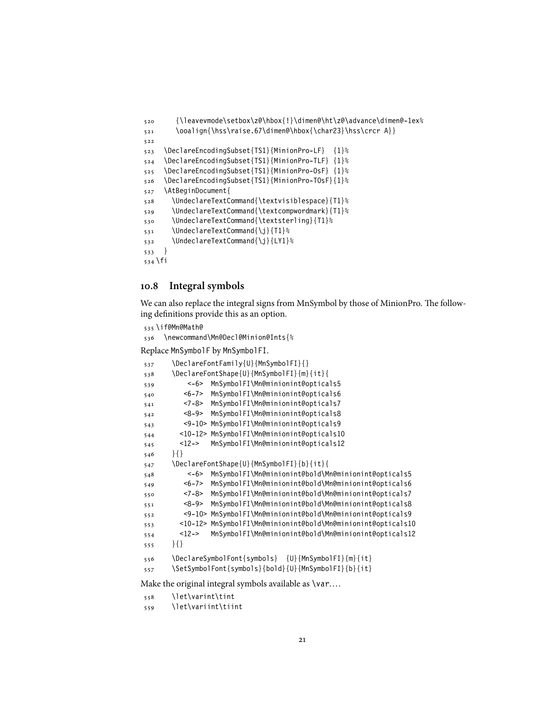```
520 {\leavevmode\setbox\z@\hbox{!}\dimen@\ht\z@\advance\dimen@-1ex%
521 \ooalign{\hss\raise.67\dimen@\hbox{\char23}\hss\crcr A}}
522
523 \DeclareEncodingSubset{TS1}{MinionPro-LF} {1}%
524 \DeclareEncodingSubset{TS1}{MinionPro-TLF} {1}%
525 \DeclareEncodingSubset{TS1}{MinionPro-OsF} {1}%
526 \DeclareEncodingSubset{TS1}{MinionPro-TOsF}{1}%
527 \AtBeginDocument{
528 \UndeclareTextCommand{\textvisiblespace}{T1}%
529 \UndeclareTextCommand{\textcompwordmark}{T1}%
530 \UndeclareTextCommand{\textsterling}{T1}%
531 \UndeclareTextCommand{\j}{T1}%
532 \UndeclareTextCommand{\j}{LY1}%
533 }
534 \fi
```
#### <span id="page-20-0"></span>**10.8 Integral symbols**

We can also replace the integral signs from MnSymbol by those of MinionPro. The following definitions provide this as an option.

```
535 \if@Mn@Math@
```
\newcommand\Mn@Decl@Minion@Ints{%

Replace MnSymbolF by MnSymbolFI.

```
537 \DeclareFontFamily{U}{MnSymbolFI}{}
538 \DeclareFontShape{U}{MnSymbolFI}{m}{it}{
539 <-6> MnSymbolFI\Mn@minionint@opticals5
540 <6-7> MnSymbolFI\Mn@minionint@opticals6
541 <7-8> MnSymbolFI\Mn@minionint@opticals7
542 <8-9> MnSymbolFI\Mn@minionint@opticals8
543 <9-10> MnSymbolFI\Mn@minionint@opticals9
544 <10-12> MnSymbolFI\Mn@minionint@opticals10
545 <12-> MnSymbolFI\Mn@minionint@opticals12
546 }{}
547 \DeclareFontShape{U}{MnSymbolFI}{b}{it}{
548 <-6> MnSymbolFI\Mn@minionint@bold\Mn@minionint@opticals5
549 <6-7> MnSymbolFI\Mn@minionint@bold\Mn@minionint@opticals6
550 <7-8> MnSymbolFI\Mn@minionint@bold\Mn@minionint@opticals7
551 <8-9> MnSymbolFI\Mn@minionint@bold\Mn@minionint@opticals8
552 <9-10> MnSymbolFI\Mn@minionint@bold\Mn@minionint@opticals9
553 <10-12> MnSymbolFI\Mn@minionint@bold\Mn@minionint@opticals10
554 <12-> MnSymbolFI\Mn@minionint@bold\Mn@minionint@opticals12
555 }{}
556 \DeclareSymbolFont{symbols} {U}{MnSymbolFI}{m}{it}
557 \SetSymbolFont{symbols}{bold}{U}{MnSymbolFI}{b}{it}
Make the original integral symbols available as \var....
```
\let\varint\tint

\let\variint\tiint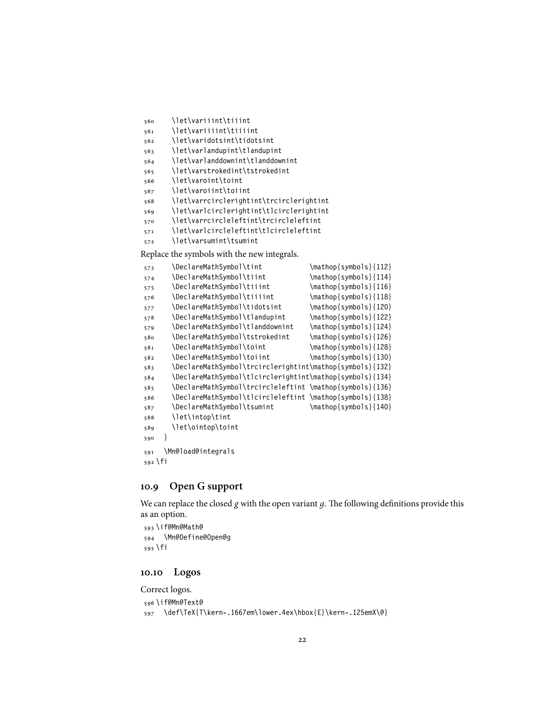```
560 \let\variiint\tiiint
```

```
561 \let\variiiint\tiiiint
```
- \let\varidotsint\tidotsint
- \let\varlandupint\tlandupint
- \let\varlanddownint\tlanddownint
- \let\varstrokedint\tstrokedint
- \let\varoint\toint
- \let\varoiint\toiint
- \let\varrcirclerightint\trcirclerightint
- \let\varlcirclerightint\tlcirclerightint
- \let\varrcircleleftint\trcircleleftint
- \let\varlcircleleftint\tlcircleleftint
- \let\varsumint\tsumint

Replace the symbols with the new integrals.

| 573       | \DeclareMathSymbol\tint                                  | $\mathcal{S}\$ { 112 }                           |
|-----------|----------------------------------------------------------|--------------------------------------------------|
| 574       | \DeclareMathSymbol\tiint                                 | $\mathcal{S}\$ {symbols}{114}                    |
| 575       | \DeclareMathSymbol\tiiint                                | $\mathcal{S}\$ {116}                             |
| 576       | \DeclareMathSymbol\tiiiint                               | $\mathcal{S}\$ {118}                             |
| 577       | \DeclareMathSymbol\tidotsint                             | $\mathcal{S}\$ {symbols}{120}                    |
| 578       | \DeclareMathSymbol\tlandupint                            | \mathop{symbols}{122}                            |
| 579       | \DeclareMathSymbol\tlanddownint                          | $\mathcal{S}\$ { 124 }                           |
| 580       | \DeclareMathSymbol\tstrokedint                           | $\mathcal{S}\$ { 126 \mathop { symbols } { 126 } |
| 581       | \DeclareMathSymbol\toint                                 | $\mathcal{S}\$ {symbols}{128}                    |
| 582       | \DeclareMathSymbol\toiint                                | $\mathcal{S}\$ {symbols}{130}                    |
| 583       | \DeclareMathSymbol\trcirclerightint\mathop{symbols}{132} |                                                  |
| 584       | \DeclareMathSymbol\tlcirclerightint\mathop{symbols}{134} |                                                  |
| 585       | \DeclareMathSymbol\trcircleleftint \mathop{symbols}{136} |                                                  |
| 586       | \DeclareMathSymbol\tlcircleleftint \mathop{symbols}{138} |                                                  |
| 587       | \DeclareMathSymbol\tsumint                               | $\mathcal{S}\$ { 140}                            |
| 588       | \let\intop\tint                                          |                                                  |
| 589       | \let\ointop\toint                                        |                                                  |
| 590       | ł                                                        |                                                  |
| 591       | \Mn@load@integrals                                       |                                                  |
| $592$ \fi |                                                          |                                                  |

#### <span id="page-21-0"></span>**10.9 Open G support**

We can replace the closed *g* with the open variant *д*. The following definitions provide this as an option.

```
593 \if@Mn@Math@
594 \Mn@Define@Open@g
595 \fi
```
#### <span id="page-21-1"></span>**10.10 Logos**

Correct logos.

```
596 \if@Mn@Text@
```

```
597 \def\TeX{T\kern-.1667em\lower.4ex\hbox{E}\kern-.125emX\@}
```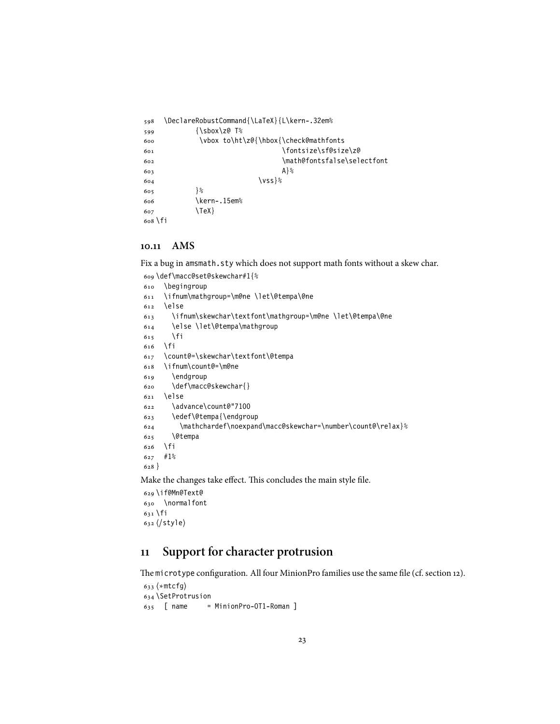```
598 \DeclareRobustCommand{\LaTeX}{L\kern-.32em%
599 {\sbox\z@ T%
600 \vbox to\ht\z@{\hbox{\check@mathfonts
601 \fontsize\sf@size\z@
602 \math@fontsfalse\selectfont
603 A604 \sqrt{VSS}605 }%
606 \kern-.15em%
607 \TeX}
608 \fi
```
#### <span id="page-22-0"></span>**10.11 AMS**

Fix a bug in amsmath.sty which does not support math fonts without a skew char.

\def\macc@set@skewchar#1{%

```
610 \begingroup
611 \ifnum\mathgroup=\m@ne \let\@tempa\@ne
612 \else
613 \ifnum\skewchar\textfont\mathgroup=\m@ne \let\@tempa\@ne
614 \else \let\@tempa\mathgroup
615 \fi
616 \fi
617 \count@=\skewchar\textfont\@tempa
618 \ifnum\count@=\m@ne
619 \endgroup
620 \def\macc@skewchar{}
621 \else
622 \advance\count@"7100
623 \edef\@tempa{\endgroup
624 \mathchardef\noexpand\macc@skewchar=\number\count@\relax}%
625 \@tempa
626 \fi
627 #1%
628 }
```
Make the changes take effect. This concludes the main style file.

 \if@Mn@Text@ \normalfont \fi ⟨/style⟩

## <span id="page-22-1"></span>**11 Support for character protrusion**

The microtype configuration. All four MinionPro families use the same file (cf. section [12\)](#page-27-0).

```
633 ⟨∗mtcfg⟩
634 \SetProtrusion
635 [ name = MinionPro-OT1-Roman ]
```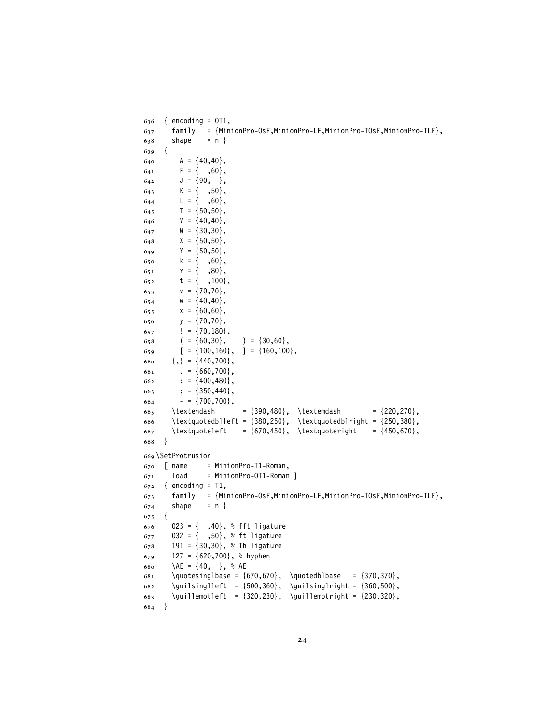```
636 { encoding = OT1,
637 family = {MinionPro-OsF,MinionPro-LF,MinionPro-TOsF,MinionPro-TLF},
638 shape = n }
639 {
640 A = \{40, 40\},
641 F = { ,60},
642 J = \{90, \},
643 K = { ,50},
644 L = \{ , 60 \},645 T = \{50, 50\},646 V = \{40, 40\},
647 W = \{30, 30\},
648 X = \{50, 50\},
649 Y = {50,50},
650 k = \{ , 60 \},651 r = \{ , 80 \},652 t = \{ ,100 \},
653 v = \{70, 70\},
654 w = \{40, 40\},
655 X = \{60, 60\},
656 y = \{70, 70\},
657 \vert = {70,180},
658 ( = {60, 30}, ) = {30, 60},659 [ = \{100, 160\}, ] = \{160, 100\},660 \{,\} = \{440,700\},
661 . = {660,700},
662 : = \{400, 480\},
663 ; = {350,440},
664 - {5} = {700,700},
665 \textendash = {390,480}, \textemdash = {220,270},
666 \textquotedblleft = {380,250}, \textquotedblright = {250,380},
667 \textquoteleft = {670,450}, \textquoteright = {450,670},
668 }
669 \SetProtrusion
670 \int name = MinionPro-T1-Roman,
671 load = MinionPro-OT1-Roman ]
672 \quad{ encoding = T1,
673 family = {MinionPro-OsF,MinionPro-LF,MinionPro-TOsF,MinionPro-TLF},
674 shape = n }
675 {
676 023 = \{, 40\}, % fft ligature
677 032 = \{, 50\}, % ft ligature
678 191 = \{30, 30\}, % Th ligature
679 127 = {620,700}, % hyphen
680 \AE = \{40, \}, % AE
681 \quotesinglbase = {670,670}, \quotedblbase = {370,370},
682 \guilsinglleft = {500,360}, \guilsinglright = {360,500},
683 \guillemotleft = {320,230}, \guillemotright = {230,320},
684 }
```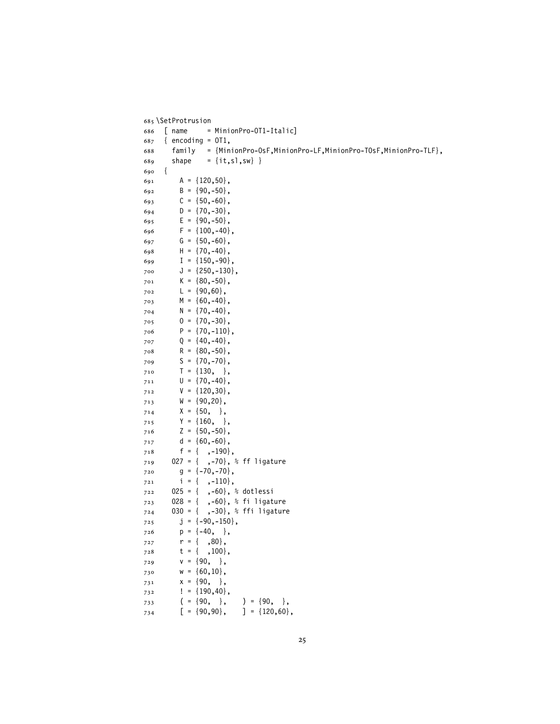```
685 \SetProtrusion
686 [ name = MinionPro-OT1-Italic]
687 { encoding = OT1,
688 family = {MinionPro-OsF,MinionPro-LF,MinionPro-TOsF,MinionPro-TLF},
689 shape = {it,sl,sw} }
690 {
691 A = \{120, 50\},
692 B = \{90, -50\},693 C = \{50, -60\},694 D = \{70, -30\},
695 E = {90, -50},
696 F = \{100, -40\}697 G = {50, -60},
698 H = \{70, -40\},
699 I = \{150, -90\},
700 J = \{250, -130\},
701 K = \{80, -50\},
702 L = \{90, 60\},
703 M = {60, -40},
704 N = \{70, -40\},
705 0 = \{70, -30\},
706 P = \{70, -110\},
707 Q = \{40, -40\},
708 R = \{80, -50\},
709 S = \{70, -70\},
710 T = {130, },
711 U = \{70, -40\},
712 V = \{120, 30\},
713 W = \{90, 20\},
714 X = \{50, \},
715 Y = {160, },
716 Z = {50,-50},
717 d = {60,-60},
718 f = { ,-190},
719 027 = { ,-70}, % ff ligature
720 g = \{-70, -70\},
721   i = \{ , -110 \},
722 025 = { ,-60}, % dotlessi
723 028 = { ,-60}, % fi ligature
724 030 = { ,-30}, % ffi ligature
725 j = \{-90, -150\},
726 p = \{-40, \},
727 r = { ,80},
728 t = { ,100},
729 V = \{90, \},
730 W = \{60, 10\},
731 X = \{90, \},
732 ! = {190,40},
733 ( = {90, }, ) = {90, },734 [ = \{90, 90\}, ] = \{120, 60\},
```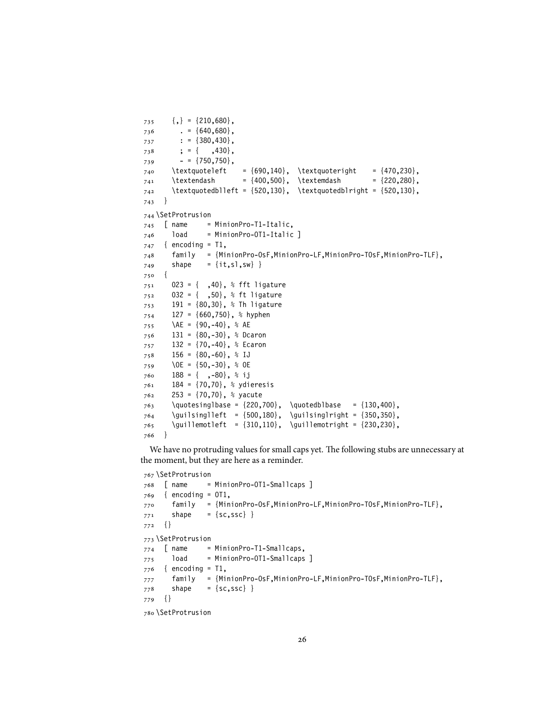```
735 \qquad {\},\} = \{210,680\}736 . = {640,680},
737 : = {380,430},
738 ; = { ,430},
739 - {750,750},
_{740} \textquoteleft = {690,140}, \textquoteright = {470,230},
_{741} \textendash = {400,500}, \textemdash = {220,280},
_{742} \textquotedblleft = {520,130}, \textquotedblright = {520,130},
743 }
744 \SetProtrusion
745 \sqrt{} name = MinionPro-T1-Italic,
746 load = MinionPro-OT1-Italic ]
747 { encoding = T1,
748 family = {MinionPro-OsF,MinionPro-LF,MinionPro-TOsF,MinionPro-TLF},
749 shape = {it,sl,sw} }
750 {
751 023 = { ,40}, % fft ligature
752 032 = { ,50}, % ft ligature
753 191 = {80,30}, % Th ligature
754 127 = {660,750}, % hyphen
755 \AE = \{90, -40\}, % AE
756 131 = \{80, -30\}, % Dcaron
757 132 = \{70, -40\}, % Ecaron
758 156 = {80,-60}, % IJ
759 \OE = \{50, -30\}, % OE
760 188 = {,-80}, % ij
761 184 = \{70, 70\}, % ydieresis
762 253 = \{70, 70\}, % yacute
763 \quotesinglbase = {220,700}, \quotedblbase = {130,400},
764 \guilsinglleft = {500,180}, \guilsinglright = {350,350},
765 \guillemotleft = {310,110}, \guillemotright = {230,230},
766 }
```

```
We have no protruding values for small caps yet. The following stubs are unnecessary at
the moment, but they are here as a reminder.
```

```
767 \SetProtrusion
768 [ name = MinionPro-OT1-Smallcaps ]
769 { encoding = OT1,
770 family = {MinionPro-OsF,MinionPro-LF,MinionPro-TOsF,MinionPro-TLF},
771 shape = {sc,ssc} }
772 {}
773 \SetProtrusion
774 [ name = MinionPro-T1-Smallcaps,
775 load = MinionPro-OT1-Smallcaps ]
776 { encoding = T1,
777 family = {MinionPro-OsF,MinionPro-LF,MinionPro-TOsF,MinionPro-TLF},
778 shape = {sc,ssc} }
779 {}
780 \SetProtrusion
```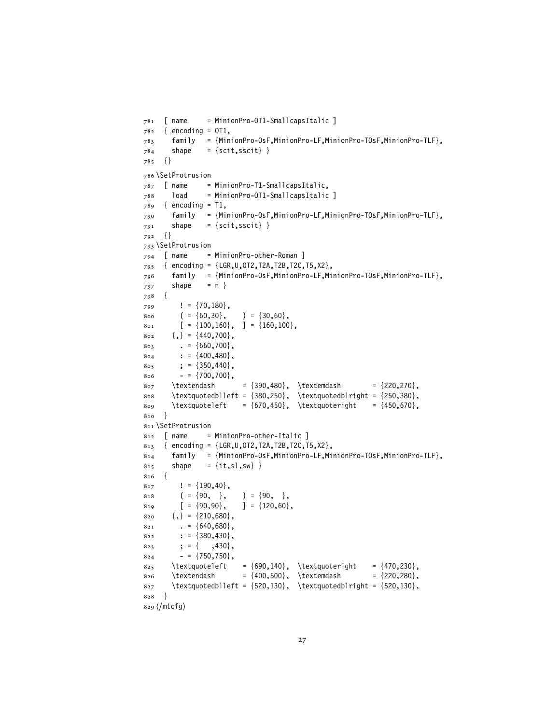```
781 [ name = MinionPro-OT1-SmallcapsItalic ]
782 \quad{ encoding = 0T1,
783 family = {MinionPro-OsF,MinionPro-LF,MinionPro-TOsF,MinionPro-TLF},
784 shape = {scit,sscit} }
785 {}
786 \SetProtrusion
787 [ name = MinionPro-T1-SmallcapsItalic,
788 load = MinionPro-OT1-SmallcapsItalic ]
789 \quad { encoding = T1,
790 family = {MinionPro-OsF,MinionPro-LF,MinionPro-TOsF,MinionPro-TLF},
791 shape = {scit, sscit} }
792 {}
793 \SetProtrusion
794 [ name = MinionPro-other-Roman ]
795 { encoding = {LGR,U,OT2,T2A,T2B,T2C,T5,X2},
796 family = {MinionPro-OsF,MinionPro-LF,MinionPro-TOsF,MinionPro-TLF},
797 shape = n }
798 {
799 ! = \{70, 180\},
800 ( = {60, 30}, ) = {30, 60},801 [ = {100,160}, ] = {160,100},802 \qquad {\},\} = \{440,700\}803 . = {660,700},
804 : = \{400, 480\},
805 ; = {350,440},
806 = {700,700},
807 \textendash = {390,480}, \textemdash = {220,270},
808 \textquotedblleft = {380,250}, \textquotedblright = {250,380},
809 \textquoteleft = {670,450}, \textquoteright = {450,670},
810 }
811 \SetProtrusion
812 [ name = MinionPro-other-Italic ]
813 { encoding = {LGR, U, 0T2, T2A, T2B, T2C, T5, X2},
814 family = {MinionPro-OsF,MinionPro-LF,MinionPro-TOsF,MinionPro-TLF},
815 shape = {it,sl,sw} }
816 {
8_{17} ! = {190,40},
818 ( = \{90, \}, ) = \{90, \},
8_{19} [ = {90,90}, ] = {120,60},
820 \qquad {\},\} = \{210,680\}821 . = {640,680},
822 : = {380,430},
823 ; = { ,430},
824 = {750,750},825 \textquoteleft = {690,140}, \textquoteright = {470,230},
826 \textendash = \{400,500\}, \textemdash = \{220,280\},
827 \textquotedblleft = \{520,130\}, \textquotedblright = \{520,130\},
828 }
829 ⟨/mtcfg⟩
```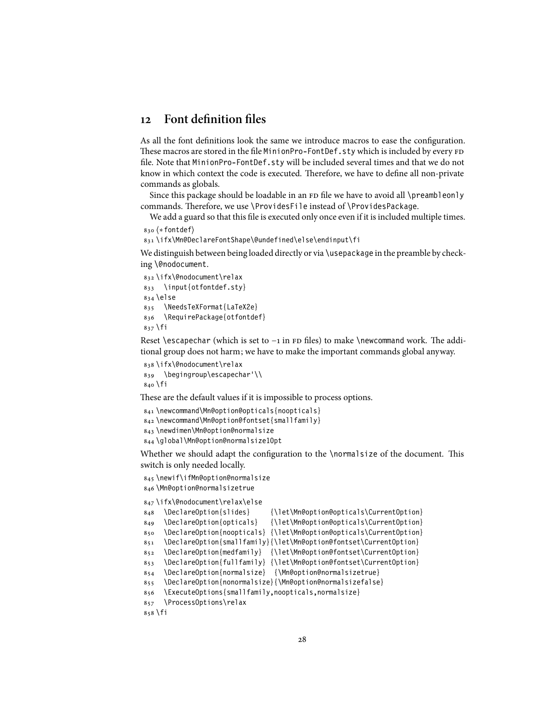## <span id="page-27-0"></span>**12 Font definition files**

As all the font definitions look the same we introduce macros to ease the configuration. These macros are stored in the file MinionPro-FontDef.sty which is included by every FD file. Note that MinionPro-FontDef.sty will be included several times and that we do not know in which context the code is executed. Therefore, we have to define all non-private commands as globals.

Since this package should be loadable in an FD file we have to avoid all \preambleonly commands. Therefore, we use \ProvidesFile instead of \ProvidesPackage.

We add a guard so that this file is executed only once even if it is included multiple times.

```
830 ⟨∗fontdef⟩
```
\ifx\Mn@DeclareFontShape\@undefined\else\endinput\fi

We distinguish between being loaded directly or via \usepackage in the preamble by checking \@nodocument.

```
832 \ifx\@nodocument\relax
833 \input{otfontdef.sty}
834 \else
835 \NeedsTeXFormat{LaTeX2e}
836 \RequirePackage{otfontdef}
837 \fi
```
Reset \escapechar (which is set to  $-1$  in FD files) to make \newcommand work. The additional group does not harm; we have to make the important commands global anyway.

```
838 \ifx\@nodocument\relax
839 \begingroup\escapechar'\\
840 \fi
```
These are the default values if it is impossible to process options.

```
841 \newcommand\Mn@option@opticals{noopticals}
842 \newcommand\Mn@option@fontset{smallfamily}
843 \newdimen\Mn@option@normalsize
844 \global\Mn@option@normalsize10pt
```
Whether we should adapt the configuration to the \normalsize of the document. This switch is only needed locally.

```
845 \newif\ifMn@option@normalsize
846 \Mn@option@normalsizetrue
```
\ifx\@nodocument\relax\else

```
848 \DeclareOption{slides} {\let\Mn@option@opticals\CurrentOption}
849 \DeclareOption{opticals} {\let\Mn@option@opticals\CurrentOption}
850 \DeclareOption{noopticals} {\let\Mn@option@opticals\CurrentOption}
851 \DeclareOption{smallfamily}{\let\Mn@option@fontset\CurrentOption}
852 \DeclareOption{medfamily} {\let\Mn@option@fontset\CurrentOption}
853 \DeclareOption{fullfamily} {\let\Mn@option@fontset\CurrentOption}
854 \DeclareOption{normalsize} {\Mn@option@normalsizetrue}
855 \DeclareOption{nonormalsize}{\Mn@option@normalsizefalse}
856 \ExecuteOptions{smallfamily,noopticals,normalsize}
857 \ProcessOptions\relax
858 \fi
```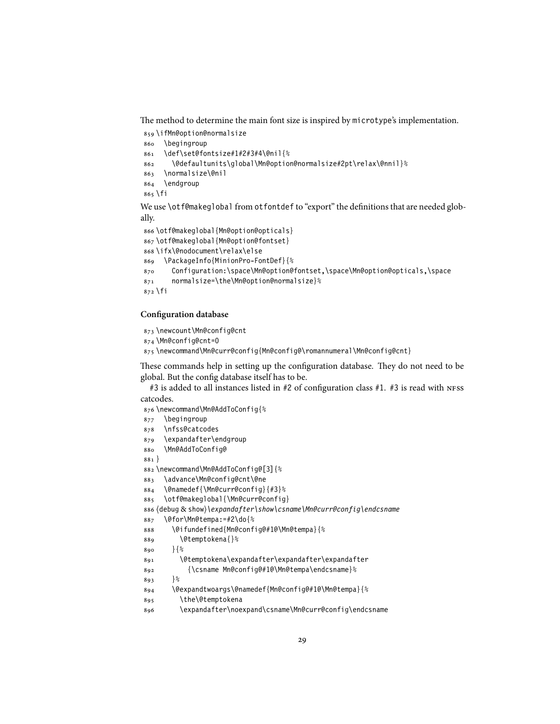The method to determine the main font size is inspired by microtype's implementation.

 \ifMn@option@normalsize \begingroup \def\set@fontsize#1#2#3#4\@nil{% \@defaultunits\global\Mn@option@normalsize#2pt\relax\@nnil}% \normalsize\@nil \endgroup \fi

We use \otf@makeglobal from otfontdef to "export" the definitions that are needed globally.

```
866 \otf@makeglobal{Mn@option@opticals}
867 \otf@makeglobal{Mn@option@fontset}
868 \ifx\@nodocument\relax\else
869 \PackageInfo{MinionPro-FontDef}{%
870 Configuration:\space\Mn@option@fontset,\space\Mn@option@opticals,\space
871 normalsize=\the\Mn@option@normalsize}%
872 \fi
```
#### **Configuration database**

\newcount\Mn@config@cnt

```
874 \Mn@config@cnt=0
```
\newcommand\Mn@curr@config{Mn@config@\romannumeral\Mn@config@cnt}

These commands help in setting up the configuration database. They do not need to be global. But the config database itself has to be.

#3 is added to all instances listed in #2 of configuration class #1. #3 is read with NFSS catcodes.

```
876 \newcommand\Mn@AddToConfig{%
877 \begingroup
878 \nfss@catcodes
879 \expandafter\endgroup
880 \Mn@AddToConfig@
881 }
882 \newcommand\Mn@AddToConfig@[3]{%
883 \advance\Mn@config@cnt\@ne
884 \@namedef{\Mn@curr@config}{#3}%
885 \otf@makeglobal{\Mn@curr@config}
886 ⟨debug & show⟩\expandafter\show\csname\Mn@curr@config\endcsname
887 \@for\Mn@tempa:=#2\do{%
888 \@ifundefined{Mn@config@#1@\Mn@tempa}{%
889 \@temptokena{}%
890 }{%
891 \@temptokena\expandafter\expandafter\expandafter
892 {\csname Mn@config@#1@\Mn@tempa\endcsname}%
893 }%
894 \@expandtwoargs\@namedef{Mn@config@#1@\Mn@tempa}{%
895 \the\@temptokena
896 \expandafter\noexpand\csname\Mn@curr@config\endcsname
```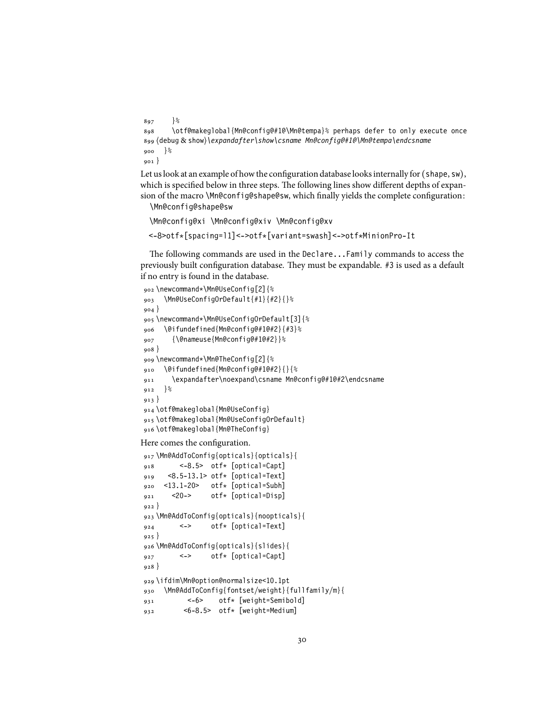```
897 }%
898 \otf@makeglobal{Mn@config@#1@\Mn@tempa}% perhaps defer to only execute once
899 ⟨debug & show⟩\expandafter\show\csname Mn@config@#1@\Mn@tempa\endcsname
900 }%
901 }
```
Let us look at an example of how the configuration database looks internally for (shape, sw), which is specified below in three steps. The following lines show different depths of expansion of the macro \Mn@config@shape@sw, which finally yields the complete configuration:

\Mn@config@shape@sw

```
\Mn@config@xi \Mn@config@xiv \Mn@config@xv
<-8>otf*[spacing=l1]<->otf*[variant=swash]<->otf*MinionPro-It
```
The following commands are used in the Declare...Family commands to access the previously built configuration database. They must be expandable. #3 is used as a default if no entry is found in the database.

```
902 \newcommand*\Mn@UseConfig[2]{%
903 \Mn@UseConfigOrDefault{#1}{#2}{}%
904 }
905 \newcommand*\Mn@UseConfigOrDefault[3]{%
     906 \@ifundefined{Mn@config@#1@#2}{#3}%
907 {\@nameuse{Mn@config@#1@#2}}%
908 }
909 \newcommand*\Mn@TheConfig[2]{%
910 \@ifundefined{Mn@config@#1@#2}{}{%
911 \expandafter\noexpand\csname Mn@config@#1@#2\endcsname
912 }%
913 }
914 \otf@makeglobal{Mn@UseConfig}
915 \otf@makeglobal{Mn@UseConfigOrDefault}
916 \otf@makeglobal{Mn@TheConfig}
```
Here comes the configuration.

```
917 \Mn@AddToConfig{opticals}{opticals}{
918 <-8.5> otf* [optical=Capt]
919 <8.5-13.1> otf* [optical=Text]
920 <13.1-20> otf* [optical=Subh]
921 <20-> otf* [optical=Disp]
922 }
923 \Mn@AddToConfig{opticals}{noopticals}{
924 <-> otf* [optical=Text]
925926 \Mn@AddToConfig{opticals}{slides}{
927 <-> otf* [optical=Capt]
928 }
929 \ifdim\Mn@option@normalsize<10.1pt
930 \Mn@AddToConfig{fontset/weight}{fullfamily/m}{
931 <-6> otf* [weight=Semibold]
932 <6-8.5> otf* [weight=Medium]
```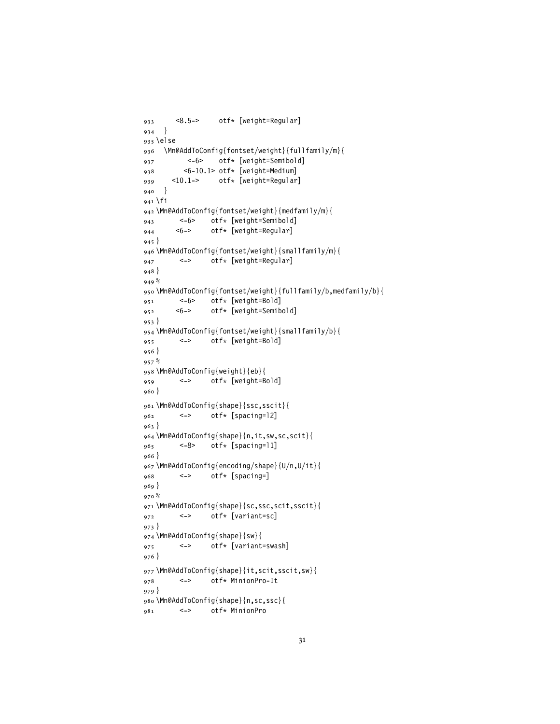```
933 <8.5-> otf* [weight=Regular]
934 }
935 \else
936 \Mn@AddToConfig{fontset/weight}{fullfamily/m}{
937 <-6> otf* [weight=Semibold]
938 <6-10.1> otf* [weight=Medium]<br>939 <10.1-> otf* [weight=Regular
939 <10.1-> otf* [weight=Regular]
940 }
941 \fi
942 \Mn@AddToConfig{fontset/weight}{medfamily/m}{
943 <-6> otf* [weight=Semibold]<br>044 <6-> otf* [weight=Reqular]
944 <6-> otf* [weight=Regular]
945 }
946 \Mn@AddToConfig{fontset/weight}{smallfamily/m}{
947 <-> otf* [weight=Regular]
948 }
949 %
950 \Mn@AddToConfig{fontset/weight}{fullfamily/b,medfamily/b}{
951 <-6> otf* [weight=Bold]<br>952 <6-> otf* [weight=Semib
952 <6-> otf* [weight=Semibold]
953 }
954 \Mn@AddToConfig{fontset/weight}{smallfamily/b}{
955 <-> otf* [weight=Bold]
956 }
957 %
958 \Mn@AddToConfig{weight}{eb}{
959 <-> otf* [weight=Bold]
960 }
961 \Mn@AddToConfig{shape}{ssc,sscit}{
962 <-> otf* [spacing=l2]
963 }
964 \Mn@AddToConfig{shape}{n,it,sw,sc,scit}{
965 <-8> otf* [spacing=l1]
966 }
967 \Mn@AddToConfig{encoding/shape}{U/n,U/it}{
968 <-> otf* [spacing=]
969 }
970 %
971 \Mn@AddToConfig{shape}{sc,ssc,scit,sscit}{
972 <-> otf* [variant=sc]
973 }
974 \Mn@AddToConfig{shape}{sw}{
975 <-> otf* [variant=swash]
976 }
977 \Mn@AddToConfig{shape}{it,scit,sscit,sw}{
978 <-> otf* MinionPro-It
979 }
980 \Mn@AddToConfig{shape}{n,sc,ssc}{
981 <-> otf* MinionPro
```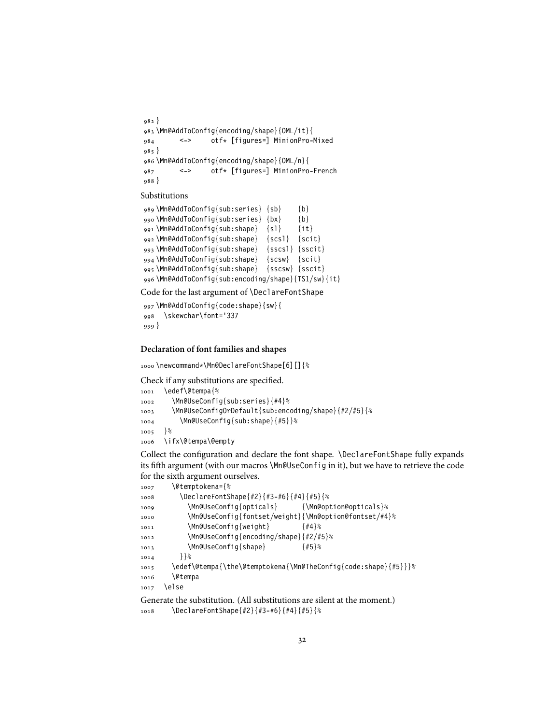```
982 }
983 \Mn@AddToConfig{encoding/shape}{OML/it}{
984 <-> otf* [figures=] MinionPro-Mixed
985 }
986 \Mn@AddToConfig{encoding/shape}{OML/n}{
987 <-> otf* [figures=] MinionPro-French
988 }
```
Substitutions

```
989 \Mn@AddToConfig{sub:series} {sb} {b}
990 \Mn@AddToConfig{sub:series} {bx} {b}
991 \Mn@AddToConfig{sub:shape} {sl} {it}
992 \Mn@AddToConfig{sub:shape} {scsl} {scit}
993 \Mn@AddToConfig{sub:shape} {sscsl} {sscit}
994 \Mn@AddToConfig{sub:shape} {scsw} {scit}
995 \Mn@AddToConfig{sub:shape} {sscsw} {sscit}
996 \Mn@AddToConfig{sub:encoding/shape}{TS1/sw}{it}
```
Code for the last argument of \DeclareFontShape

```
997 \Mn@AddToConfig{code:shape}{sw}{
998 \skewchar\font='337
999 }
```
#### **Declaration of font families and shapes**

\newcommand\*\Mn@DeclareFontShape[6][]{%

Check if any substitutions are specified.

```
1001 \edef\@tempa{%
1002 \Mn@UseConfig{sub:series}{#4}%
1003 \Mn@UseConfigOrDefault{sub:encoding/shape}{#2/#5}{%
1004 \Mn@UseConfig{sub:shape}{#5}}%
1005 }%
1006 \ifx\@tempa\@empty
```
Collect the configuration and declare the font shape. \DeclareFontShape fully expands its fifth argument (with our macros \Mn@UseConfig in it), but we have to retrieve the code for the sixth argument ourselves.

```
1007 \@temptokena={%
1008 \DeclareFontShape{#2}{#3-#6}{#4}{#5}{%
1009 \Mn@UseConfig{opticals} {\Mn@option@opticals}%
1010 \Mn@UseConfig{fontset/weight}{\Mn@option@fontset/#4}%
1011 \Mn@UseConfig{weight} {#4}%
1012 \Mn@UseConfig{encoding/shape}{#2/#5}%
1013 \Mn@UseConfig{shape} {#5}%
1014 } \frac{3}{6}1015 \edef\@tempa{\the\@temptokena{\Mn@TheConfig{code:shape}{#5}}}%
1016 \@tempa
1017 \else
```

```
Generate the substitution. (All substitutions are silent at the moment.)
1018 \DeclareFontShape{#2}{#3-#6}{#4}{#5}{%
```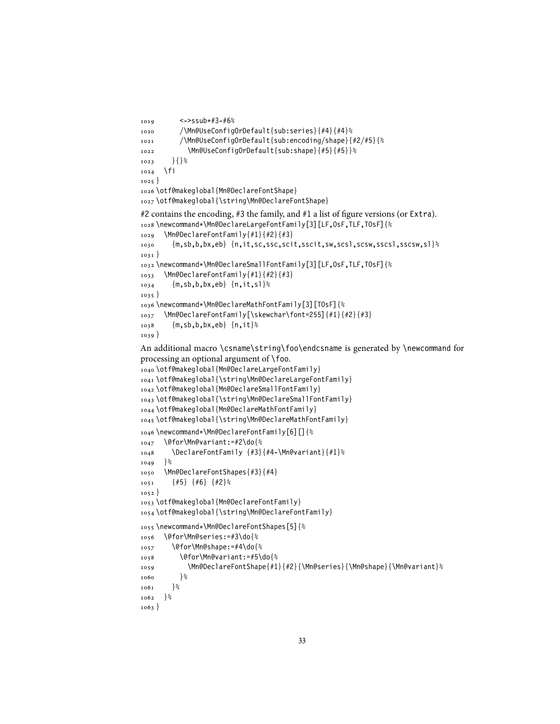```
1019 <->ssub*#3-#6%
1020 /\Mn@UseConfigOrDefault{sub:series}{#4}{#4}%
1021 /\Mn@UseConfigOrDefault{sub:encoding/shape}{#2/#5}{%
1022 \Mn@UseConfigOrDefault{sub:shape}{#5}{#5}}%
1023 }{}%
1024 \fi
1025 }
1026 \otf@makeglobal{Mn@DeclareFontShape}
1027 \otf@makeglobal{\string\Mn@DeclareFontShape}
#2 contains the encoding, #3 the family, and #1 a list of figure versions (or Extra).
1028 \newcommand*\Mn@DeclareLargeFontFamily[3][LF,OsF,TLF,TOsF]{%
1029 \Mn@DeclareFontFamily{#1}{#2}{#3}
1030 {m,sb,b,bx,eb} {n,it,sc,ssc,scit,sscit,sw,scsl,scsw,sscsl,sscsw,sl}%
1031 }
1032 \newcommand*\Mn@DeclareSmallFontFamily[3][LF,OsF,TLF,TOsF]{%
1033 \Mn@DeclareFontFamily{#1}{#2}{#3}
1034 {m,sb,b,bx,eb} {n,it,sl}%
1035 }
1036 \newcommand*\Mn@DeclareMathFontFamily[3][TOsF]{%
1037 \Mn@DeclareFontFamily[\skewchar\font=255]{#1}{#2}{#3}
1038 {m,sb,b,bx,eb} {n,it}%
1039 }
An additional macro \csname\string\foo\endcsname is generated by \newcommand for
processing an optional argument of \foo.
1040 \otf@makeglobal{Mn@DeclareLargeFontFamily}
1041 \otf@makeglobal{\string\Mn@DeclareLargeFontFamily}
1042 \otf@makeglobal{Mn@DeclareSmallFontFamily}
1043 \otf@makeglobal{\string\Mn@DeclareSmallFontFamily}
1044 \otf@makeglobal{Mn@DeclareMathFontFamily}
1045 \otf@makeglobal{\string\Mn@DeclareMathFontFamily}
1046 \newcommand*\Mn@DeclareFontFamily[6][]{%
1047 \@for\Mn@variant:=#2\do{%
1048 \DeclareFontFamily {#3}{#4-\Mn@variant}{#1}%
1049 }%
1050 \Mn@DeclareFontShapes{#3}{#4}
1051 {#5} {#6} {#2}%
1052 }
1053 \otf@makeglobal{Mn@DeclareFontFamily}
1054 \otf@makeglobal{\string\Mn@DeclareFontFamily}
1055 \newcommand*\Mn@DeclareFontShapes[5]{%
1056 \@for\Mn@series:=#3\do{%
1057 \@for\Mn@shape:=#4\do{%
1058 \@for\Mn@variant:=#5\do{%
1059 \Mn@DeclareFontShape{#1}{#2}{\Mn@series}{\Mn@shape}{\Mn@variant}%
1060 }%
1061 }%
1062 \frac{8}{6}1063 }
```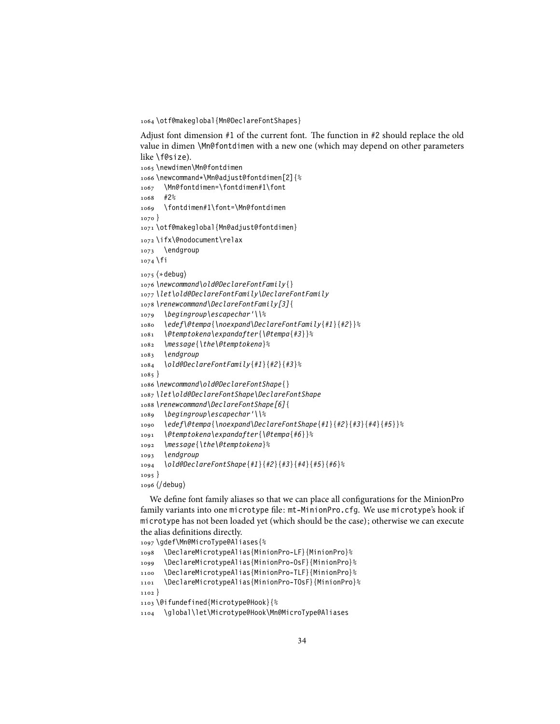\otf@makeglobal{Mn@DeclareFontShapes}

Adjust font dimension #1 of the current font. The function in #2 should replace the old value in dimen \Mn@fontdimen with a new one (which may depend on other parameters like \f@size).

```
1065 \newdimen\Mn@fontdimen
1066 \newcommand*\Mn@adjust@fontdimen[2]{%
1067 \Mn@fontdimen=\fontdimen#1\font
1068 #2%
1069 \fontdimen#1\font=\Mn@fontdimen
1070 }
1071 \otf@makeglobal{Mn@adjust@fontdimen}
1072 \ifx\@nodocument\relax
1073 \endgroup
1074 \fi
1075 ⟨∗debug⟩
1076 \newcommand\old@DeclareFontFamily{}
1077 \let\old@DeclareFontFamily\DeclareFontFamily
1078 \renewcommand\DeclareFontFamily[3]{
1079 \begingroup\escapechar'\\%
1080 \edef\@tempa{\noexpand\DeclareFontFamily{#1}{#2}}%
1081 \@temptokena\expandafter{\@tempa{#3}}%
1082 \message{\the\@temptokena}%
1083 \endgroup
1084 \old@DeclareFontFamily{#1}{#2}{#3}%
1085 }
1086 \newcommand\old@DeclareFontShape{}
1087 \let\old@DeclareFontShape\DeclareFontShape
1088 \renewcommand\DeclareFontShape[6]{
1089 \begingroup\escapechar'\\%
1090 \edef\@tempa{\noexpand\DeclareFontShape{#1}{#2}{#3}{#4}{#5}}%
1091 \@temptokena\expandafter{\@tempa{#6}}%
1092 \message{\the\@temptokena}%
1093 \endgroup
1094 \old@DeclareFontShape{#1}{#2}{#3}{#4}{#5}{#6}%
1095 }
1096 ⟨/debug⟩
```
We define font family aliases so that we can place all configurations for the MinionPro family variants into one microtype file: mt-MinionPro.cfg. We use microtype's hook if microtype has not been loaded yet (which should be the case); otherwise we can execute the alias definitions directly.

```
1097 \gdef\Mn@MicroType@Aliases{%
1098 \DeclareMicrotypeAlias{MinionPro-LF}{MinionPro}%
```

```
1099 \DeclareMicrotypeAlias{MinionPro-OsF}{MinionPro}%
```
\DeclareMicrotypeAlias{MinionPro-TLF}{MinionPro}%

```
1101 \DeclareMicrotypeAlias{MinionPro-TOsF}{MinionPro}%
```
}

```
1103 \@ifundefined{Microtype@Hook}{%
```

```
1104 \global\let\Microtype@Hook\Mn@MicroType@Aliases
```